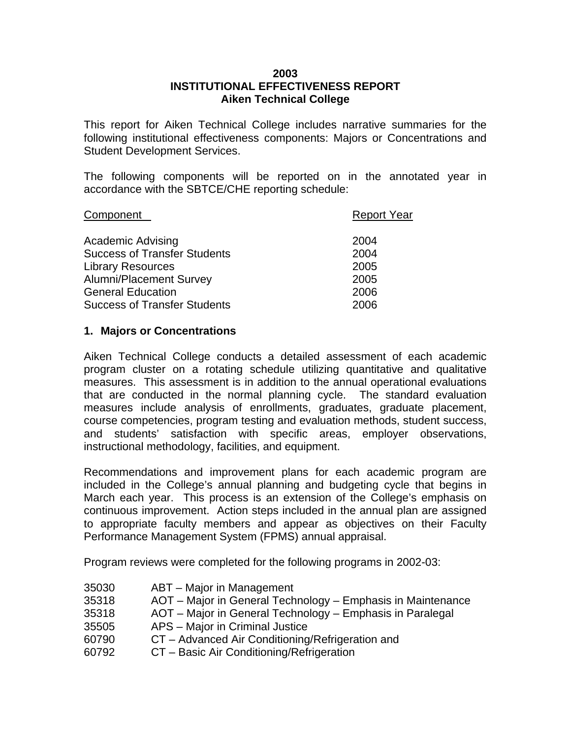## **2003 INSTITUTIONAL EFFECTIVENESS REPORT Aiken Technical College**

This report for Aiken Technical College includes narrative summaries for the following institutional effectiveness components: Majors or Concentrations and Student Development Services.

The following components will be reported on in the annotated year in accordance with the SBTCE/CHE reporting schedule:

| Component                           | <b>Report Year</b> |
|-------------------------------------|--------------------|
| Academic Advising                   | 2004               |
| <b>Success of Transfer Students</b> | 2004               |
| <b>Library Resources</b>            | 2005               |
| <b>Alumni/Placement Survey</b>      | 2005               |
| <b>General Education</b>            | 2006               |
| <b>Success of Transfer Students</b> | 2006               |

## **1. Majors or Concentrations**

Aiken Technical College conducts a detailed assessment of each academic program cluster on a rotating schedule utilizing quantitative and qualitative measures. This assessment is in addition to the annual operational evaluations that are conducted in the normal planning cycle. The standard evaluation measures include analysis of enrollments, graduates, graduate placement, course competencies, program testing and evaluation methods, student success, and students' satisfaction with specific areas, employer observations, instructional methodology, facilities, and equipment.

Recommendations and improvement plans for each academic program are included in the College's annual planning and budgeting cycle that begins in March each year. This process is an extension of the College's emphasis on continuous improvement. Action steps included in the annual plan are assigned to appropriate faculty members and appear as objectives on their Faculty Performance Management System (FPMS) annual appraisal.

Program reviews were completed for the following programs in 2002-03:

- 35030 ABT Major in Management
- 35318 AOT Major in General Technology Emphasis in Maintenance
- 35318 AOT Major in General Technology Emphasis in Paralegal
- 35505 APS Major in Criminal Justice
- 60790 CT Advanced Air Conditioning/Refrigeration and
- 60792 CT Basic Air Conditioning/Refrigeration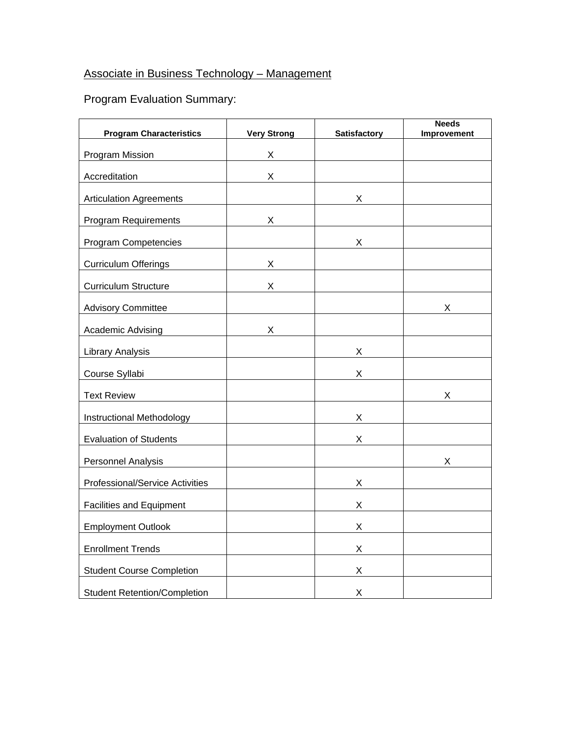## Associate in Business Technology – Management

| <b>Program Characteristics</b>      | <b>Very Strong</b> | Satisfactory | <b>Needs</b><br>Improvement |
|-------------------------------------|--------------------|--------------|-----------------------------|
| Program Mission                     | X                  |              |                             |
| Accreditation                       | X                  |              |                             |
| <b>Articulation Agreements</b>      |                    | X            |                             |
| <b>Program Requirements</b>         | X                  |              |                             |
| Program Competencies                |                    | $X -$        |                             |
| <b>Curriculum Offerings</b>         | X                  |              |                             |
| <b>Curriculum Structure</b>         | X                  |              |                             |
| <b>Advisory Committee</b>           |                    |              | X.                          |
| <b>Academic Advising</b>            | $X -$              |              |                             |
| Library Analysis                    |                    | X            |                             |
| Course Syllabi                      |                    | X            |                             |
| <b>Text Review</b>                  |                    |              | X                           |
| Instructional Methodology           |                    | X.           |                             |
| <b>Evaluation of Students</b>       |                    | X.           |                             |
| Personnel Analysis                  |                    |              | X                           |
| Professional/Service Activities     |                    | X.           |                             |
| Facilities and Equipment            |                    | X            |                             |
| <b>Employment Outlook</b>           |                    | X.           |                             |
| <b>Enrollment Trends</b>            |                    | X            |                             |
| <b>Student Course Completion</b>    |                    | X            |                             |
| <b>Student Retention/Completion</b> |                    | X            |                             |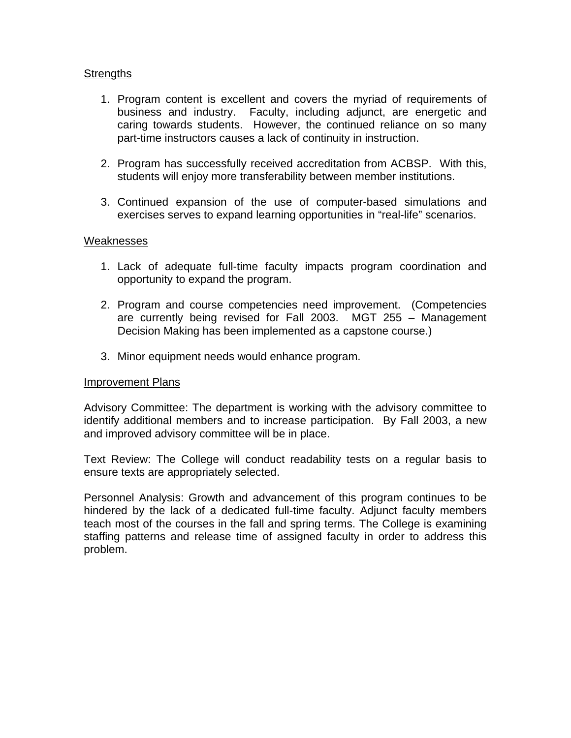- 1. Program content is excellent and covers the myriad of requirements of business and industry. Faculty, including adjunct, are energetic and caring towards students. However, the continued reliance on so many part-time instructors causes a lack of continuity in instruction.
- 2. Program has successfully received accreditation from ACBSP. With this, students will enjoy more transferability between member institutions.
- 3. Continued expansion of the use of computer-based simulations and exercises serves to expand learning opportunities in "real-life" scenarios.

## Weaknesses

- 1. Lack of adequate full-time faculty impacts program coordination and opportunity to expand the program.
- 2. Program and course competencies need improvement. (Competencies are currently being revised for Fall 2003. MGT 255 – Management Decision Making has been implemented as a capstone course.)
- 3. Minor equipment needs would enhance program.

## Improvement Plans

Advisory Committee: The department is working with the advisory committee to identify additional members and to increase participation. By Fall 2003, a new and improved advisory committee will be in place.

Text Review: The College will conduct readability tests on a regular basis to ensure texts are appropriately selected.

Personnel Analysis: Growth and advancement of this program continues to be hindered by the lack of a dedicated full-time faculty. Adjunct faculty members teach most of the courses in the fall and spring terms. The College is examining staffing patterns and release time of assigned faculty in order to address this problem.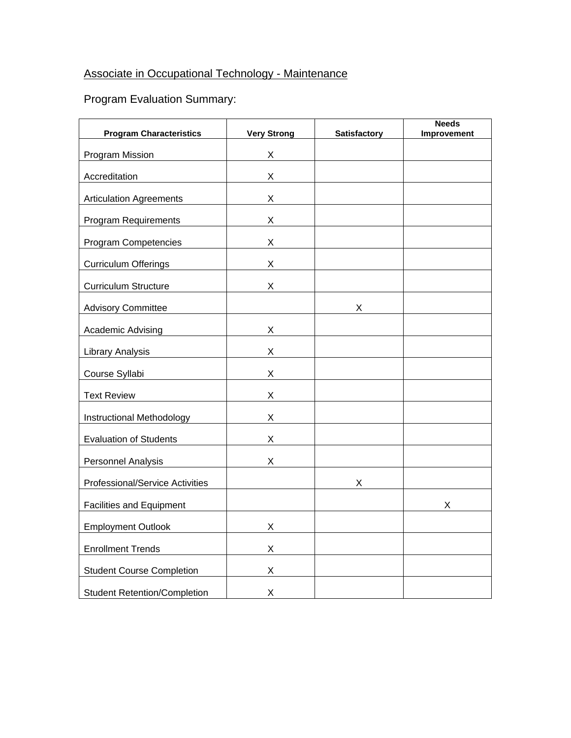## Associate in Occupational Technology - Maintenance

| <b>Program Characteristics</b>      | <b>Very Strong</b> | <b>Satisfactory</b> | <b>Needs</b><br>Improvement |
|-------------------------------------|--------------------|---------------------|-----------------------------|
| Program Mission                     | X                  |                     |                             |
| Accreditation                       | X                  |                     |                             |
|                                     |                    |                     |                             |
| <b>Articulation Agreements</b>      | $X \sim$           |                     |                             |
| Program Requirements                | X                  |                     |                             |
| Program Competencies                | X                  |                     |                             |
| <b>Curriculum Offerings</b>         | X                  |                     |                             |
| <b>Curriculum Structure</b>         | X                  |                     |                             |
| <b>Advisory Committee</b>           |                    | $X \quad \_$        |                             |
| Academic Advising                   | X.                 |                     |                             |
| <b>Library Analysis</b>             | X                  |                     |                             |
| Course Syllabi                      | X                  |                     |                             |
| <b>Text Review</b>                  | X                  |                     |                             |
| Instructional Methodology           | X                  |                     |                             |
| <b>Evaluation of Students</b>       | X                  |                     |                             |
| <b>Personnel Analysis</b>           | X                  |                     |                             |
| Professional/Service Activities     |                    | X                   |                             |
| <b>Facilities and Equipment</b>     |                    |                     | Χ                           |
| <b>Employment Outlook</b>           | X.                 |                     |                             |
| <b>Enrollment Trends</b>            | X                  |                     |                             |
| <b>Student Course Completion</b>    | X                  |                     |                             |
| <b>Student Retention/Completion</b> | X                  |                     |                             |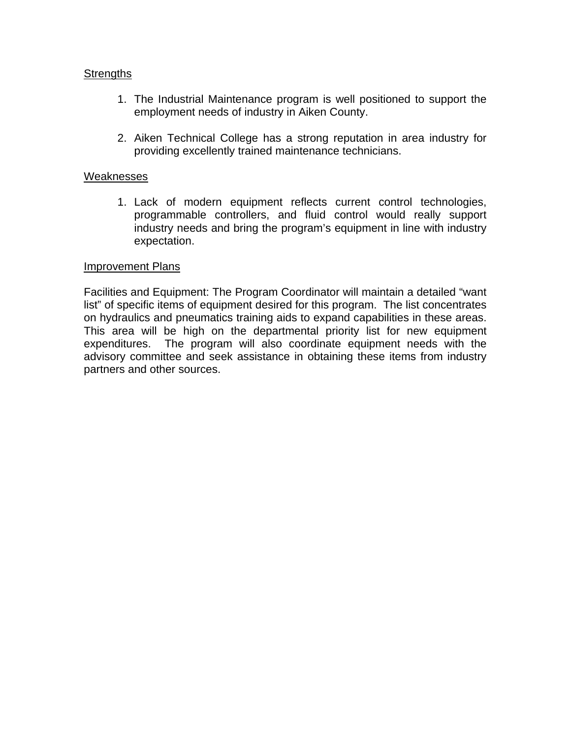- 1. The Industrial Maintenance program is well positioned to support the employment needs of industry in Aiken County.
- 2. Aiken Technical College has a strong reputation in area industry for providing excellently trained maintenance technicians.

## Weaknesses

1. Lack of modern equipment reflects current control technologies, programmable controllers, and fluid control would really support industry needs and bring the program's equipment in line with industry expectation.

## Improvement Plans

Facilities and Equipment: The Program Coordinator will maintain a detailed "want list" of specific items of equipment desired for this program. The list concentrates on hydraulics and pneumatics training aids to expand capabilities in these areas. This area will be high on the departmental priority list for new equipment expenditures. The program will also coordinate equipment needs with the advisory committee and seek assistance in obtaining these items from industry partners and other sources.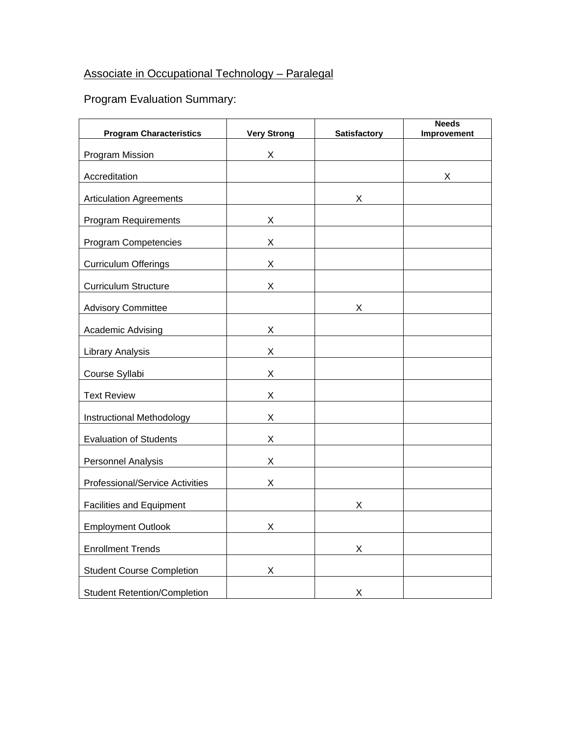## Associate in Occupational Technology – Paralegal

| <b>Program Characteristics</b>      | <b>Very Strong</b> | <b>Satisfactory</b> | <b>Needs</b><br>Improvement |
|-------------------------------------|--------------------|---------------------|-----------------------------|
| Program Mission                     | X                  |                     |                             |
| Accreditation                       |                    |                     | X                           |
| <b>Articulation Agreements</b>      |                    | X                   |                             |
| <b>Program Requirements</b>         | X                  |                     |                             |
| Program Competencies                | X                  |                     |                             |
|                                     |                    |                     |                             |
| <b>Curriculum Offerings</b>         | X                  |                     |                             |
| <b>Curriculum Structure</b>         | X                  |                     |                             |
| <b>Advisory Committee</b>           |                    | $X \equiv$          |                             |
| <b>Academic Advising</b>            | X                  |                     |                             |
| Library Analysis                    | X                  |                     |                             |
| Course Syllabi                      | X                  |                     |                             |
| <b>Text Review</b>                  | X                  |                     |                             |
| Instructional Methodology           | X                  |                     |                             |
| <b>Evaluation of Students</b>       | X                  |                     |                             |
| <b>Personnel Analysis</b>           | $\mathsf{X}$       |                     |                             |
| Professional/Service Activities     | $\mathsf{X}$       |                     |                             |
| <b>Facilities and Equipment</b>     |                    | X                   |                             |
| <b>Employment Outlook</b>           | X.                 |                     |                             |
| <b>Enrollment Trends</b>            |                    | X                   |                             |
| <b>Student Course Completion</b>    | X                  |                     |                             |
| <b>Student Retention/Completion</b> |                    | X                   |                             |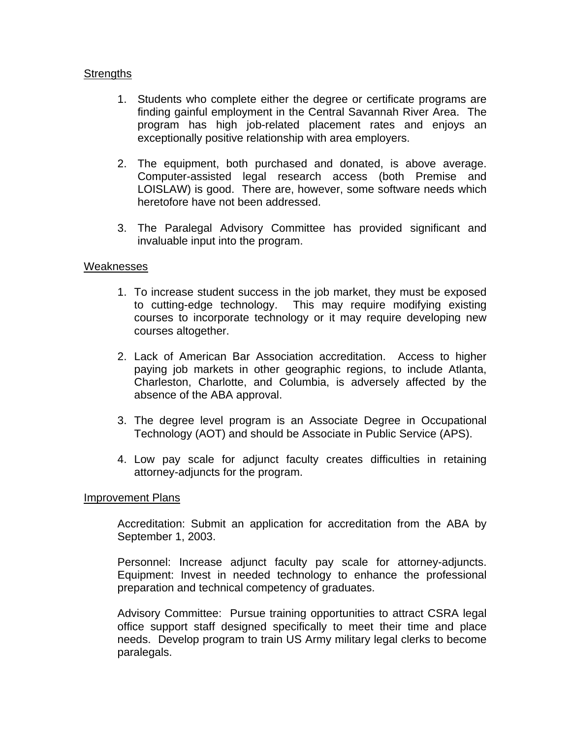- 1. Students who complete either the degree or certificate programs are finding gainful employment in the Central Savannah River Area. The program has high job-related placement rates and enjoys an exceptionally positive relationship with area employers.
- 2. The equipment, both purchased and donated, is above average. Computer-assisted legal research access (both Premise and LOISLAW) is good. There are, however, some software needs which heretofore have not been addressed.
- 3. The Paralegal Advisory Committee has provided significant and invaluable input into the program.

## Weaknesses

- 1. To increase student success in the job market, they must be exposed to cutting-edge technology. This may require modifying existing courses to incorporate technology or it may require developing new courses altogether.
- 2. Lack of American Bar Association accreditation. Access to higher paying job markets in other geographic regions, to include Atlanta, Charleston, Charlotte, and Columbia, is adversely affected by the absence of the ABA approval.
- 3. The degree level program is an Associate Degree in Occupational Technology (AOT) and should be Associate in Public Service (APS).
- 4. Low pay scale for adjunct faculty creates difficulties in retaining attorney-adjuncts for the program.

#### Improvement Plans

Accreditation: Submit an application for accreditation from the ABA by September 1, 2003.

Personnel: Increase adjunct faculty pay scale for attorney-adjuncts. Equipment: Invest in needed technology to enhance the professional preparation and technical competency of graduates.

Advisory Committee: Pursue training opportunities to attract CSRA legal office support staff designed specifically to meet their time and place needs. Develop program to train US Army military legal clerks to become paralegals.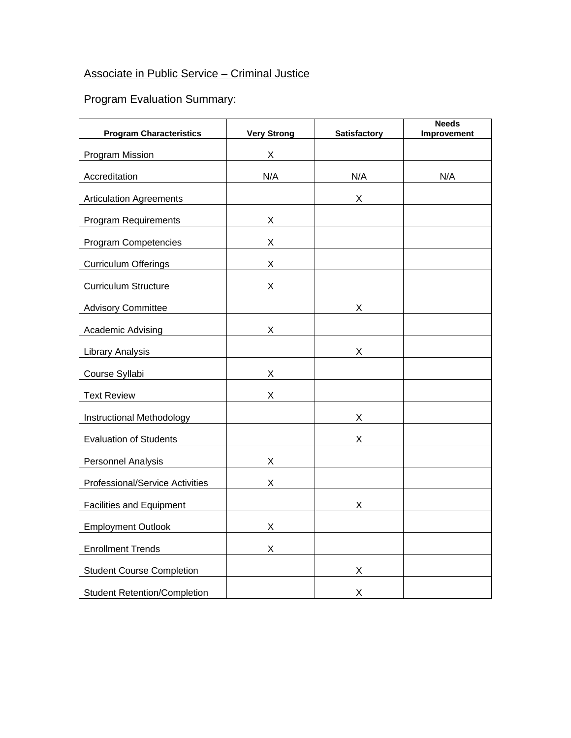## Associate in Public Service – Criminal Justice

| <b>Program Characteristics</b>      | <b>Very Strong</b> | <b>Satisfactory</b> | <b>Needs</b><br>Improvement |
|-------------------------------------|--------------------|---------------------|-----------------------------|
| Program Mission                     | X.                 |                     |                             |
| Accreditation                       | N/A                | N/A                 | N/A                         |
| <b>Articulation Agreements</b>      |                    | X.                  |                             |
| <b>Program Requirements</b>         | X                  |                     |                             |
| <b>Program Competencies</b>         | X                  |                     |                             |
| <b>Curriculum Offerings</b>         | X                  |                     |                             |
| <b>Curriculum Structure</b>         | $\mathsf{X}$       |                     |                             |
| <b>Advisory Committee</b>           |                    | $X \sim$            |                             |
| <b>Academic Advising</b>            | X.                 |                     |                             |
| <b>Library Analysis</b>             |                    | X                   |                             |
| Course Syllabi                      | $X_{-}$            |                     |                             |
| <b>Text Review</b>                  | X                  |                     |                             |
| Instructional Methodology           |                    | $X \quad$           |                             |
| <b>Evaluation of Students</b>       |                    | $\mathsf{X}$        |                             |
| <b>Personnel Analysis</b>           | $X \sim$           |                     |                             |
| Professional/Service Activities     | $X \equiv$         |                     |                             |
| Facilities and Equipment            |                    | X                   |                             |
| <b>Employment Outlook</b>           | X.                 |                     |                             |
| <b>Enrollment Trends</b>            | X.                 |                     |                             |
| <b>Student Course Completion</b>    |                    | X                   |                             |
| <b>Student Retention/Completion</b> |                    | X                   |                             |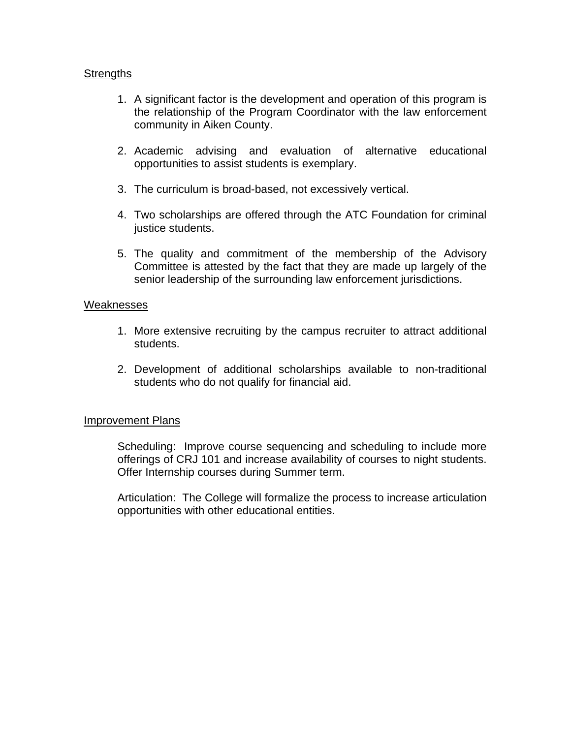- 1. A significant factor is the development and operation of this program is the relationship of the Program Coordinator with the law enforcement community in Aiken County.
- 2. Academic advising and evaluation of alternative educational opportunities to assist students is exemplary.
- 3. The curriculum is broad-based, not excessively vertical.
- 4. Two scholarships are offered through the ATC Foundation for criminal justice students.
- 5. The quality and commitment of the membership of the Advisory Committee is attested by the fact that they are made up largely of the senior leadership of the surrounding law enforcement jurisdictions.

## Weaknesses

- 1. More extensive recruiting by the campus recruiter to attract additional students.
- 2. Development of additional scholarships available to non-traditional students who do not qualify for financial aid.

## Improvement Plans

Scheduling: Improve course sequencing and scheduling to include more offerings of CRJ 101 and increase availability of courses to night students. Offer Internship courses during Summer term.

Articulation: The College will formalize the process to increase articulation opportunities with other educational entities.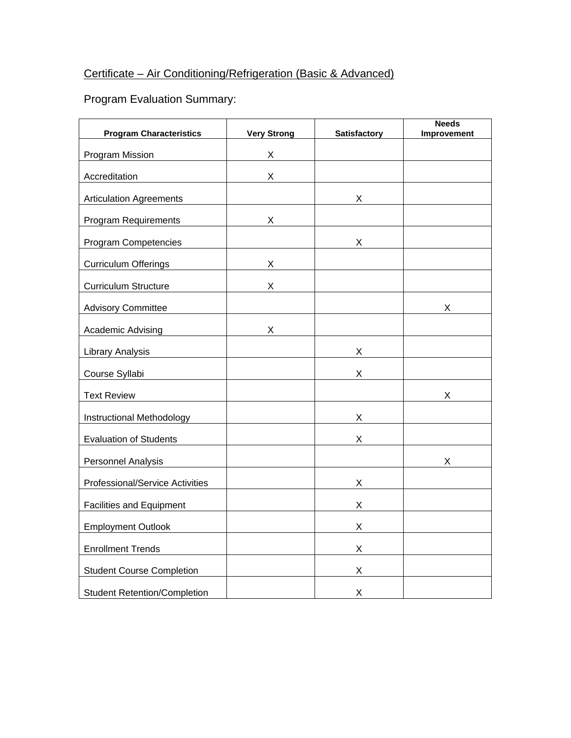# Certificate – Air Conditioning/Refrigeration (Basic & Advanced)

| <b>Program Characteristics</b>      | <b>Very Strong</b> | <b>Satisfactory</b> | <b>Needs</b><br>Improvement |
|-------------------------------------|--------------------|---------------------|-----------------------------|
| Program Mission                     | X                  |                     |                             |
| Accreditation                       | X                  |                     |                             |
| <b>Articulation Agreements</b>      |                    | $X -$               |                             |
| <b>Program Requirements</b>         | X                  |                     |                             |
| Program Competencies                |                    | X                   |                             |
| <b>Curriculum Offerings</b>         | X                  |                     |                             |
|                                     | X                  |                     |                             |
| <b>Curriculum Structure</b>         |                    |                     |                             |
| <b>Advisory Committee</b>           |                    |                     | X                           |
| <b>Academic Advising</b>            | X.                 |                     |                             |
| <b>Library Analysis</b>             |                    | $\mathsf{X}^-$      |                             |
| Course Syllabi                      |                    | X                   |                             |
| <b>Text Review</b>                  |                    |                     | X                           |
| Instructional Methodology           |                    | X.                  |                             |
| <b>Evaluation of Students</b>       |                    | X                   |                             |
| Personnel Analysis                  |                    |                     | X                           |
| Professional/Service Activities     |                    | X.                  |                             |
| <b>Facilities and Equipment</b>     |                    | X                   |                             |
| <b>Employment Outlook</b>           |                    | X                   |                             |
| <b>Enrollment Trends</b>            |                    | X                   |                             |
| <b>Student Course Completion</b>    |                    | X                   |                             |
| <b>Student Retention/Completion</b> |                    | X                   |                             |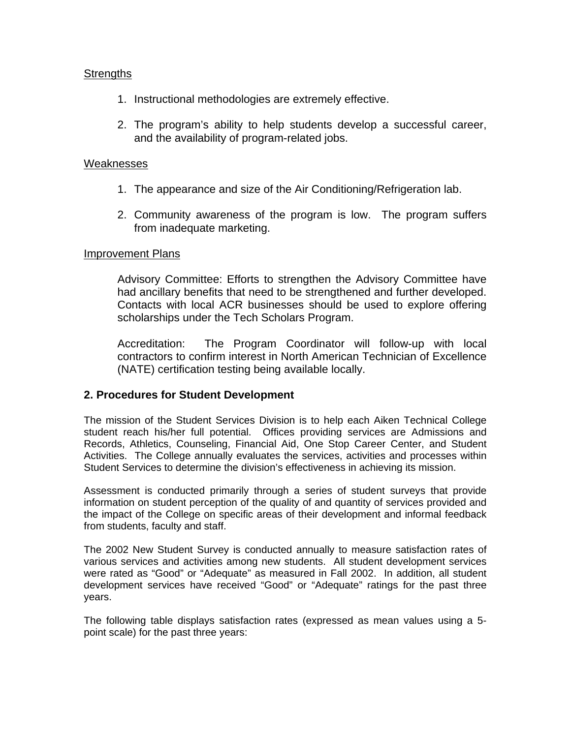- 1. Instructional methodologies are extremely effective.
- 2. The program's ability to help students develop a successful career, and the availability of program-related jobs.

#### Weaknesses

- 1. The appearance and size of the Air Conditioning/Refrigeration lab.
- 2. Community awareness of the program is low. The program suffers from inadequate marketing.

#### Improvement Plans

Advisory Committee: Efforts to strengthen the Advisory Committee have had ancillary benefits that need to be strengthened and further developed. Contacts with local ACR businesses should be used to explore offering scholarships under the Tech Scholars Program.

Accreditation: The Program Coordinator will follow-up with local contractors to confirm interest in North American Technician of Excellence (NATE) certification testing being available locally.

## **2. Procedures for Student Development**

The mission of the Student Services Division is to help each Aiken Technical College student reach his/her full potential. Offices providing services are Admissions and Records, Athletics, Counseling, Financial Aid, One Stop Career Center, and Student Activities. The College annually evaluates the services, activities and processes within Student Services to determine the division's effectiveness in achieving its mission.

Assessment is conducted primarily through a series of student surveys that provide information on student perception of the quality of and quantity of services provided and the impact of the College on specific areas of their development and informal feedback from students, faculty and staff.

The 2002 New Student Survey is conducted annually to measure satisfaction rates of various services and activities among new students. All student development services were rated as "Good" or "Adequate" as measured in Fall 2002. In addition, all student development services have received "Good" or "Adequate" ratings for the past three years.

The following table displays satisfaction rates (expressed as mean values using a 5 point scale) for the past three years: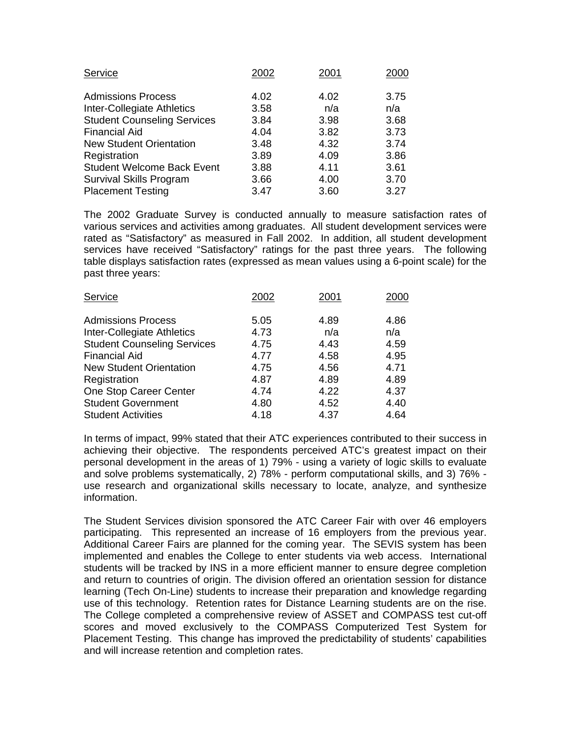| Service                            | 2002 | 2001 | 2000 |
|------------------------------------|------|------|------|
| <b>Admissions Process</b>          | 4.02 | 4.02 | 3.75 |
| Inter-Collegiate Athletics         | 3.58 | n/a  | n/a  |
| <b>Student Counseling Services</b> | 3.84 | 3.98 | 3.68 |
| <b>Financial Aid</b>               | 4.04 | 3.82 | 3.73 |
| <b>New Student Orientation</b>     | 3.48 | 4.32 | 3.74 |
| Registration                       | 3.89 | 4.09 | 3.86 |
| <b>Student Welcome Back Event</b>  | 3.88 | 4.11 | 3.61 |
| Survival Skills Program            | 3.66 | 4.00 | 3.70 |
| <b>Placement Testing</b>           | 3.47 | 3.60 | 3.27 |

The 2002 Graduate Survey is conducted annually to measure satisfaction rates of various services and activities among graduates. All student development services were rated as "Satisfactory" as measured in Fall 2002. In addition, all student development services have received "Satisfactory" ratings for the past three years. The following table displays satisfaction rates (expressed as mean values using a 6-point scale) for the past three years:

| Service                                                 | 2002         | 2001         | 2000         |
|---------------------------------------------------------|--------------|--------------|--------------|
| <b>Admissions Process</b><br>Inter-Collegiate Athletics | 5.05<br>4.73 | 4.89<br>n/a  | 4.86<br>n/a  |
| <b>Student Counseling Services</b>                      | 4.75         | 4.43         | 4.59         |
| <b>Financial Aid</b><br><b>New Student Orientation</b>  | 4.77<br>4.75 | 4.58<br>4.56 | 4.95<br>4.71 |
| Registration                                            | 4.87         | 4.89         | 4.89         |
| One Stop Career Center<br><b>Student Government</b>     | 4.74         | 4.22         | 4.37         |
| <b>Student Activities</b>                               | 4.80<br>4.18 | 4.52<br>4.37 | 4.40<br>4.64 |
|                                                         |              |              |              |

In terms of impact, 99% stated that their ATC experiences contributed to their success in achieving their objective. The respondents perceived ATC's greatest impact on their personal development in the areas of 1) 79% - using a variety of logic skills to evaluate and solve problems systematically, 2) 78% - perform computational skills, and 3) 76% use research and organizational skills necessary to locate, analyze, and synthesize information.

The Student Services division sponsored the ATC Career Fair with over 46 employers participating. This represented an increase of 16 employers from the previous year. Additional Career Fairs are planned for the coming year. The SEVIS system has been implemented and enables the College to enter students via web access. International students will be tracked by INS in a more efficient manner to ensure degree completion and return to countries of origin. The division offered an orientation session for distance learning (Tech On-Line) students to increase their preparation and knowledge regarding use of this technology. Retention rates for Distance Learning students are on the rise. The College completed a comprehensive review of ASSET and COMPASS test cut-off scores and moved exclusively to the COMPASS Computerized Test System for Placement Testing. This change has improved the predictability of students' capabilities and will increase retention and completion rates.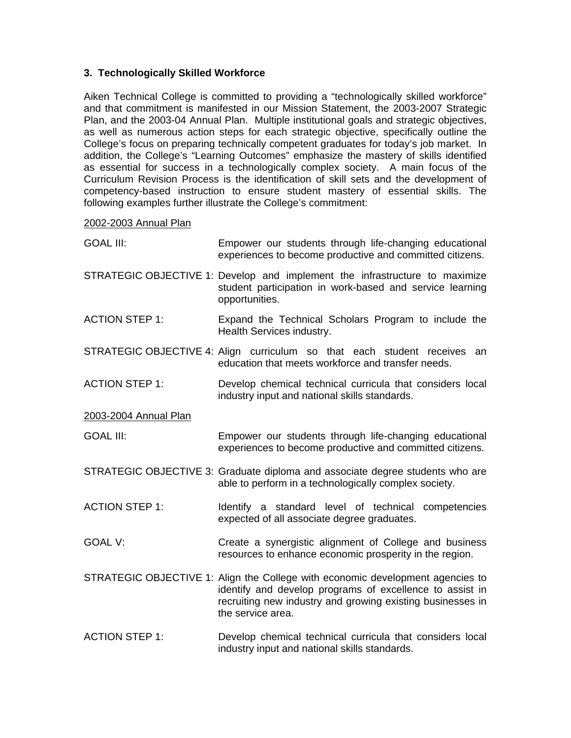## **3. Technologically Skilled Workforce**

Aiken Technical College is committed to providing a "technologically skilled workforce" and that commitment is manifested in our Mission Statement, the 2003-2007 Strategic Plan, and the 2003-04 Annual Plan. Multiple institutional goals and strategic objectives, as well as numerous action steps for each strategic objective, specifically outline the College's focus on preparing technically competent graduates for today's job market. In addition, the College's "Learning Outcomes" emphasize the mastery of skills identified as essential for success in a technologically complex society. A main focus of the Curriculum Revision Process is the identification of skill sets and the development of competency-based instruction to ensure student mastery of essential skills. The following examples further illustrate the College's commitment:

#### 2002-2003 Annual Plan

| <b>GOAL III:</b>      | Empower our students through life-changing educational<br>experiences to become productive and committed citizens.                                                                                                            |
|-----------------------|-------------------------------------------------------------------------------------------------------------------------------------------------------------------------------------------------------------------------------|
|                       | STRATEGIC OBJECTIVE 1: Develop and implement the infrastructure to maximize<br>student participation in work-based and service learning<br>opportunities.                                                                     |
| <b>ACTION STEP 1:</b> | Expand the Technical Scholars Program to include the<br>Health Services industry.                                                                                                                                             |
|                       | STRATEGIC OBJECTIVE 4: Align curriculum so that each student receives<br>an<br>education that meets workforce and transfer needs.                                                                                             |
| <b>ACTION STEP 1:</b> | Develop chemical technical curricula that considers local<br>industry input and national skills standards.                                                                                                                    |
| 2003-2004 Annual Plan |                                                                                                                                                                                                                               |
| <b>GOAL III:</b>      | Empower our students through life-changing educational<br>experiences to become productive and committed citizens.                                                                                                            |
|                       | STRATEGIC OBJECTIVE 3: Graduate diploma and associate degree students who are<br>able to perform in a technologically complex society.                                                                                        |
| <b>ACTION STEP 1:</b> | Identify a standard level of technical competencies<br>expected of all associate degree graduates.                                                                                                                            |
| <b>GOAL V:</b>        | Create a synergistic alignment of College and business<br>resources to enhance economic prosperity in the region.                                                                                                             |
|                       | STRATEGIC OBJECTIVE 1: Align the College with economic development agencies to<br>identify and develop programs of excellence to assist in<br>recruiting new industry and growing existing businesses in<br>the service area. |
| <b>ACTION STEP 1:</b> | Develop chemical technical curricula that considers local<br>industry input and national skills standards.                                                                                                                    |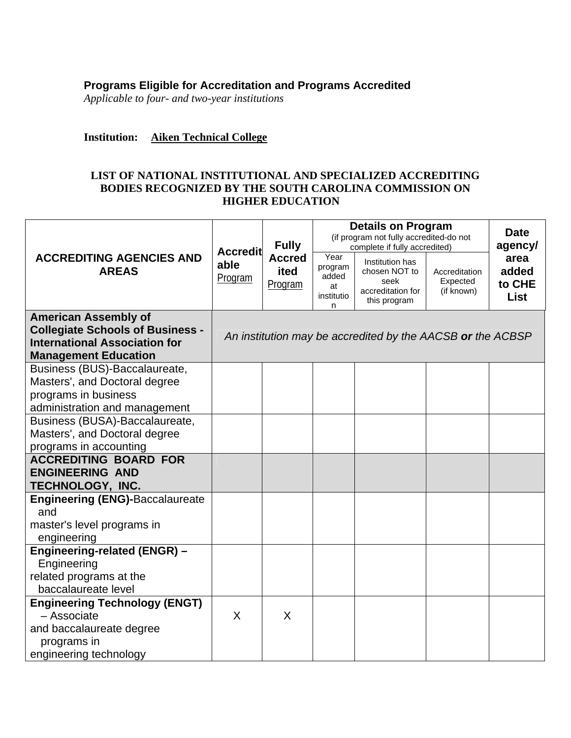## **Programs Eligible for Accreditation and Programs Accredited**

*Applicable to four- and two-year institutions* 

## **Institution: Aiken Technical College**

## **LIST OF NATIONAL INSTITUTIONAL AND SPECIALIZED ACCREDITING BODIES RECOGNIZED BY THE SOUTH CAROLINA COMMISSION ON HIGHER EDUCATION**

|                                                                                                                                               | <b>Accredit</b><br>able<br>Program | <b>Fully</b>                     | <b>Details on Program</b><br>(if program not fully accredited-do not<br>complete if fully accredited) |                                                                               |                                         | <b>Date</b><br>agency/                 |
|-----------------------------------------------------------------------------------------------------------------------------------------------|------------------------------------|----------------------------------|-------------------------------------------------------------------------------------------------------|-------------------------------------------------------------------------------|-----------------------------------------|----------------------------------------|
| <b>ACCREDITING AGENCIES AND</b><br><b>AREAS</b>                                                                                               |                                    | <b>Accred</b><br>ited<br>Program | Year<br>program<br>added<br>at<br>institutio<br>n                                                     | Institution has<br>chosen NOT to<br>seek<br>accreditation for<br>this program | Accreditation<br>Expected<br>(if known) | area<br>added<br>to CHE<br><b>List</b> |
| <b>American Assembly of</b><br><b>Collegiate Schools of Business -</b><br><b>International Association for</b><br><b>Management Education</b> |                                    |                                  |                                                                                                       | An institution may be accredited by the AACSB or the ACBSP                    |                                         |                                        |
| Business (BUS)-Baccalaureate,                                                                                                                 |                                    |                                  |                                                                                                       |                                                                               |                                         |                                        |
| Masters', and Doctoral degree<br>programs in business                                                                                         |                                    |                                  |                                                                                                       |                                                                               |                                         |                                        |
| administration and management                                                                                                                 |                                    |                                  |                                                                                                       |                                                                               |                                         |                                        |
| Business (BUSA)-Baccalaureate,                                                                                                                |                                    |                                  |                                                                                                       |                                                                               |                                         |                                        |
| Masters', and Doctoral degree                                                                                                                 |                                    |                                  |                                                                                                       |                                                                               |                                         |                                        |
| programs in accounting                                                                                                                        |                                    |                                  |                                                                                                       |                                                                               |                                         |                                        |
| <b>ACCREDITING BOARD FOR</b>                                                                                                                  |                                    |                                  |                                                                                                       |                                                                               |                                         |                                        |
| <b>ENGINEERING AND</b><br>TECHNOLOGY, INC.                                                                                                    |                                    |                                  |                                                                                                       |                                                                               |                                         |                                        |
| <b>Engineering (ENG)-Baccalaureate</b>                                                                                                        |                                    |                                  |                                                                                                       |                                                                               |                                         |                                        |
| and                                                                                                                                           |                                    |                                  |                                                                                                       |                                                                               |                                         |                                        |
| master's level programs in                                                                                                                    |                                    |                                  |                                                                                                       |                                                                               |                                         |                                        |
| engineering                                                                                                                                   |                                    |                                  |                                                                                                       |                                                                               |                                         |                                        |
| Engineering-related (ENGR) -                                                                                                                  |                                    |                                  |                                                                                                       |                                                                               |                                         |                                        |
| Engineering                                                                                                                                   |                                    |                                  |                                                                                                       |                                                                               |                                         |                                        |
| related programs at the                                                                                                                       |                                    |                                  |                                                                                                       |                                                                               |                                         |                                        |
| baccalaureate level                                                                                                                           |                                    |                                  |                                                                                                       |                                                                               |                                         |                                        |
| <b>Engineering Technology (ENGT)</b><br>- Associate                                                                                           | $\sf X$                            | X                                |                                                                                                       |                                                                               |                                         |                                        |
| and baccalaureate degree                                                                                                                      |                                    |                                  |                                                                                                       |                                                                               |                                         |                                        |
| programs in                                                                                                                                   |                                    |                                  |                                                                                                       |                                                                               |                                         |                                        |
| engineering technology                                                                                                                        |                                    |                                  |                                                                                                       |                                                                               |                                         |                                        |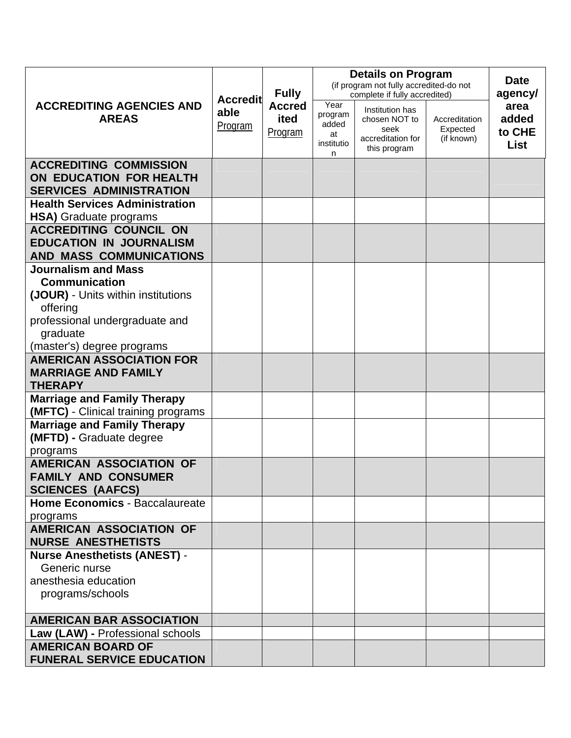|                                                                                                                                                                                                                                                   | <b>Accredit</b><br>able<br>Program | <b>Fully</b><br><b>Accred</b><br>ited<br><b>Program</b> |                                                   | <b>Details on Program</b><br>(if program not fully accredited-do not<br>complete if fully accredited) |                                         |                                 |
|---------------------------------------------------------------------------------------------------------------------------------------------------------------------------------------------------------------------------------------------------|------------------------------------|---------------------------------------------------------|---------------------------------------------------|-------------------------------------------------------------------------------------------------------|-----------------------------------------|---------------------------------|
| <b>ACCREDITING AGENCIES AND</b><br><b>AREAS</b>                                                                                                                                                                                                   |                                    |                                                         | Year<br>program<br>added<br>at<br>institutio<br>n | Institution has<br>chosen NOT to<br>seek<br>accreditation for<br>this program                         | Accreditation<br>Expected<br>(if known) | area<br>added<br>to CHE<br>List |
| <b>ACCREDITING COMMISSION</b><br>ON EDUCATION FOR HEALTH<br><b>SERVICES ADMINISTRATION</b>                                                                                                                                                        |                                    |                                                         |                                                   |                                                                                                       |                                         |                                 |
| <b>Health Services Administration</b><br>HSA) Graduate programs                                                                                                                                                                                   |                                    |                                                         |                                                   |                                                                                                       |                                         |                                 |
| <b>ACCREDITING COUNCIL ON</b><br><b>EDUCATION IN JOURNALISM</b><br><b>AND MASS COMMUNICATIONS</b>                                                                                                                                                 |                                    |                                                         |                                                   |                                                                                                       |                                         |                                 |
| <b>Journalism and Mass</b><br><b>Communication</b><br>(JOUR) - Units within institutions<br>offering<br>professional undergraduate and<br>graduate<br>(master's) degree programs<br><b>AMERICAN ASSOCIATION FOR</b><br><b>MARRIAGE AND FAMILY</b> |                                    |                                                         |                                                   |                                                                                                       |                                         |                                 |
| <b>THERAPY</b><br><b>Marriage and Family Therapy</b>                                                                                                                                                                                              |                                    |                                                         |                                                   |                                                                                                       |                                         |                                 |
| (MFTC) - Clinical training programs                                                                                                                                                                                                               |                                    |                                                         |                                                   |                                                                                                       |                                         |                                 |
| <b>Marriage and Family Therapy</b><br>(MFTD) - Graduate degree<br>programs                                                                                                                                                                        |                                    |                                                         |                                                   |                                                                                                       |                                         |                                 |
| <b>AMERICAN ASSOCIATION OF</b><br><b>FAMILY AND CONSUMER</b><br><b>SCIENCES (AAFCS)</b>                                                                                                                                                           |                                    |                                                         |                                                   |                                                                                                       |                                         |                                 |
| <b>Home Economics - Baccalaureate</b><br>programs                                                                                                                                                                                                 |                                    |                                                         |                                                   |                                                                                                       |                                         |                                 |
| <b>AMERICAN ASSOCIATION OF</b><br><b>NURSE ANESTHETISTS</b>                                                                                                                                                                                       |                                    |                                                         |                                                   |                                                                                                       |                                         |                                 |
| <b>Nurse Anesthetists (ANEST) -</b><br>Generic nurse<br>anesthesia education<br>programs/schools                                                                                                                                                  |                                    |                                                         |                                                   |                                                                                                       |                                         |                                 |
| <b>AMERICAN BAR ASSOCIATION</b>                                                                                                                                                                                                                   |                                    |                                                         |                                                   |                                                                                                       |                                         |                                 |
| Law (LAW) - Professional schools<br><b>AMERICAN BOARD OF</b><br><b>FUNERAL SERVICE EDUCATION</b>                                                                                                                                                  |                                    |                                                         |                                                   |                                                                                                       |                                         |                                 |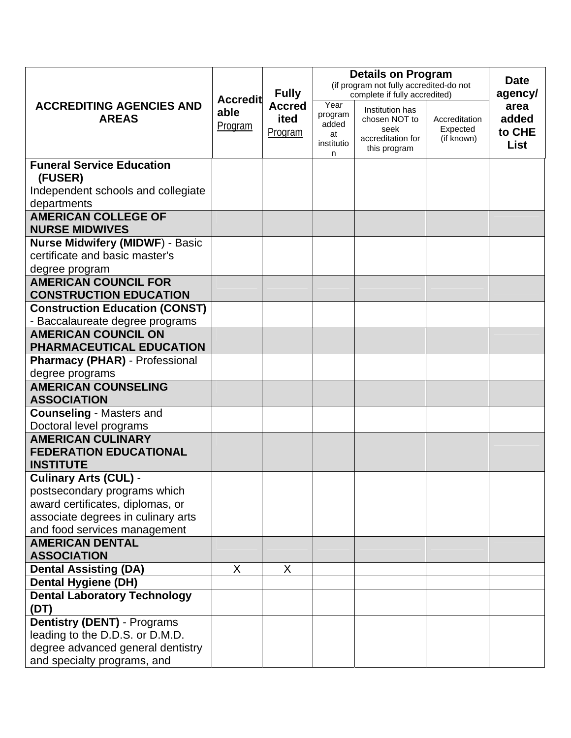|                                                              |                                    |                                                  | <b>Details on Program</b><br>(if program not fully accredited-do not |                                                                               |                                         | <b>Date</b>                     |
|--------------------------------------------------------------|------------------------------------|--------------------------------------------------|----------------------------------------------------------------------|-------------------------------------------------------------------------------|-----------------------------------------|---------------------------------|
|                                                              | <b>Accredit</b><br>able<br>Program | <b>Fully</b><br><b>Accred</b><br>ited<br>Program | complete if fully accredited)                                        |                                                                               |                                         | agency/                         |
| <b>ACCREDITING AGENCIES AND</b><br><b>AREAS</b>              |                                    |                                                  | Year<br>program<br>added<br>at<br>institutio<br>n                    | Institution has<br>chosen NOT to<br>seek<br>accreditation for<br>this program | Accreditation<br>Expected<br>(if known) | area<br>added<br>to CHE<br>List |
| <b>Funeral Service Education</b><br>(FUSER)                  |                                    |                                                  |                                                                      |                                                                               |                                         |                                 |
| Independent schools and collegiate                           |                                    |                                                  |                                                                      |                                                                               |                                         |                                 |
| departments                                                  |                                    |                                                  |                                                                      |                                                                               |                                         |                                 |
| <b>AMERICAN COLLEGE OF</b><br><b>NURSE MIDWIVES</b>          |                                    |                                                  |                                                                      |                                                                               |                                         |                                 |
| <b>Nurse Midwifery (MIDWF) - Basic</b>                       |                                    |                                                  |                                                                      |                                                                               |                                         |                                 |
| certificate and basic master's                               |                                    |                                                  |                                                                      |                                                                               |                                         |                                 |
| degree program                                               |                                    |                                                  |                                                                      |                                                                               |                                         |                                 |
| <b>AMERICAN COUNCIL FOR</b><br><b>CONSTRUCTION EDUCATION</b> |                                    |                                                  |                                                                      |                                                                               |                                         |                                 |
| <b>Construction Education (CONST)</b>                        |                                    |                                                  |                                                                      |                                                                               |                                         |                                 |
| - Baccalaureate degree programs                              |                                    |                                                  |                                                                      |                                                                               |                                         |                                 |
| <b>AMERICAN COUNCIL ON</b>                                   |                                    |                                                  |                                                                      |                                                                               |                                         |                                 |
| PHARMACEUTICAL EDUCATION                                     |                                    |                                                  |                                                                      |                                                                               |                                         |                                 |
| <b>Pharmacy (PHAR) - Professional</b>                        |                                    |                                                  |                                                                      |                                                                               |                                         |                                 |
| degree programs                                              |                                    |                                                  |                                                                      |                                                                               |                                         |                                 |
| <b>AMERICAN COUNSELING</b>                                   |                                    |                                                  |                                                                      |                                                                               |                                         |                                 |
| <b>ASSOCIATION</b>                                           |                                    |                                                  |                                                                      |                                                                               |                                         |                                 |
| <b>Counseling - Masters and</b>                              |                                    |                                                  |                                                                      |                                                                               |                                         |                                 |
| Doctoral level programs<br><b>AMERICAN CULINARY</b>          |                                    |                                                  |                                                                      |                                                                               |                                         |                                 |
| <b>FEDERATION EDUCATIONAL</b>                                |                                    |                                                  |                                                                      |                                                                               |                                         |                                 |
| <b>INSTITUTE</b>                                             |                                    |                                                  |                                                                      |                                                                               |                                         |                                 |
| <b>Culinary Arts (CUL) -</b>                                 |                                    |                                                  |                                                                      |                                                                               |                                         |                                 |
| postsecondary programs which                                 |                                    |                                                  |                                                                      |                                                                               |                                         |                                 |
| award certificates, diplomas, or                             |                                    |                                                  |                                                                      |                                                                               |                                         |                                 |
| associate degrees in culinary arts                           |                                    |                                                  |                                                                      |                                                                               |                                         |                                 |
| and food services management                                 |                                    |                                                  |                                                                      |                                                                               |                                         |                                 |
| <b>AMERICAN DENTAL</b>                                       |                                    |                                                  |                                                                      |                                                                               |                                         |                                 |
| <b>ASSOCIATION</b>                                           |                                    |                                                  |                                                                      |                                                                               |                                         |                                 |
| <b>Dental Assisting (DA)</b>                                 | X                                  | X                                                |                                                                      |                                                                               |                                         |                                 |
| <b>Dental Hygiene (DH)</b>                                   |                                    |                                                  |                                                                      |                                                                               |                                         |                                 |
| <b>Dental Laboratory Technology</b><br>(DT)                  |                                    |                                                  |                                                                      |                                                                               |                                         |                                 |
| <b>Dentistry (DENT)</b> - Programs                           |                                    |                                                  |                                                                      |                                                                               |                                         |                                 |
| leading to the D.D.S. or D.M.D.                              |                                    |                                                  |                                                                      |                                                                               |                                         |                                 |
| degree advanced general dentistry                            |                                    |                                                  |                                                                      |                                                                               |                                         |                                 |
| and specialty programs, and                                  |                                    |                                                  |                                                                      |                                                                               |                                         |                                 |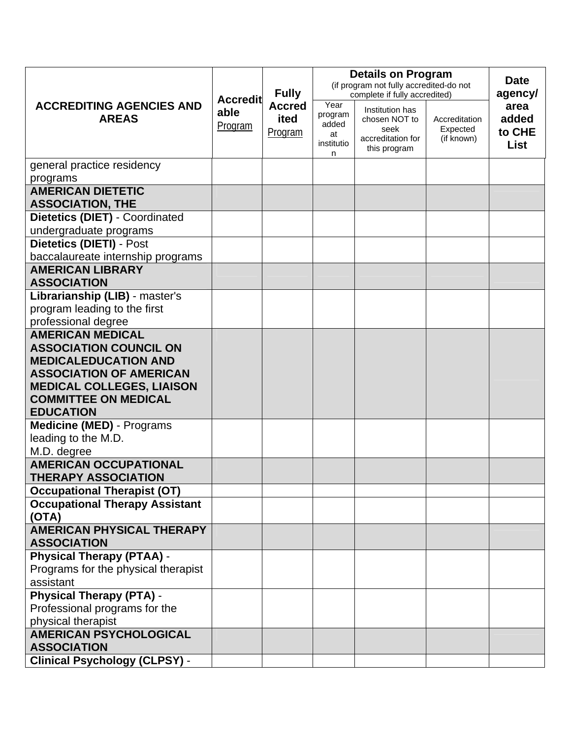|                                                            |                                    | <b>Fully</b><br><b>Accred</b><br>ited<br>Program | <b>Details on Program</b>                         | <b>Date</b>                                                                                                    |                                         |                                 |
|------------------------------------------------------------|------------------------------------|--------------------------------------------------|---------------------------------------------------|----------------------------------------------------------------------------------------------------------------|-----------------------------------------|---------------------------------|
|                                                            |                                    |                                                  | (if program not fully accredited-do not           | agency/                                                                                                        |                                         |                                 |
| <b>ACCREDITING AGENCIES AND</b><br><b>AREAS</b>            | <b>Accredit</b><br>able<br>Program |                                                  | Year<br>program<br>added<br>at<br>institutio<br>n | complete if fully accredited)<br>Institution has<br>chosen NOT to<br>seek<br>accreditation for<br>this program | Accreditation<br>Expected<br>(if known) | area<br>added<br>to CHE<br>List |
| general practice residency                                 |                                    |                                                  |                                                   |                                                                                                                |                                         |                                 |
| programs                                                   |                                    |                                                  |                                                   |                                                                                                                |                                         |                                 |
| <b>AMERICAN DIETETIC</b><br><b>ASSOCIATION, THE</b>        |                                    |                                                  |                                                   |                                                                                                                |                                         |                                 |
| <b>Dietetics (DIET) - Coordinated</b>                      |                                    |                                                  |                                                   |                                                                                                                |                                         |                                 |
| undergraduate programs                                     |                                    |                                                  |                                                   |                                                                                                                |                                         |                                 |
| Dietetics (DIETI) - Post                                   |                                    |                                                  |                                                   |                                                                                                                |                                         |                                 |
| baccalaureate internship programs                          |                                    |                                                  |                                                   |                                                                                                                |                                         |                                 |
| <b>AMERICAN LIBRARY</b>                                    |                                    |                                                  |                                                   |                                                                                                                |                                         |                                 |
| <b>ASSOCIATION</b>                                         |                                    |                                                  |                                                   |                                                                                                                |                                         |                                 |
| Librarianship (LIB) - master's                             |                                    |                                                  |                                                   |                                                                                                                |                                         |                                 |
| program leading to the first                               |                                    |                                                  |                                                   |                                                                                                                |                                         |                                 |
| professional degree                                        |                                    |                                                  |                                                   |                                                                                                                |                                         |                                 |
| <b>AMERICAN MEDICAL</b><br><b>ASSOCIATION COUNCIL ON</b>   |                                    |                                                  |                                                   |                                                                                                                |                                         |                                 |
| <b>MEDICALEDUCATION AND</b>                                |                                    |                                                  |                                                   |                                                                                                                |                                         |                                 |
| <b>ASSOCIATION OF AMERICAN</b>                             |                                    |                                                  |                                                   |                                                                                                                |                                         |                                 |
| <b>MEDICAL COLLEGES, LIAISON</b>                           |                                    |                                                  |                                                   |                                                                                                                |                                         |                                 |
| <b>COMMITTEE ON MEDICAL</b>                                |                                    |                                                  |                                                   |                                                                                                                |                                         |                                 |
| <b>EDUCATION</b>                                           |                                    |                                                  |                                                   |                                                                                                                |                                         |                                 |
| <b>Medicine (MED)</b> - Programs                           |                                    |                                                  |                                                   |                                                                                                                |                                         |                                 |
| leading to the M.D.                                        |                                    |                                                  |                                                   |                                                                                                                |                                         |                                 |
| M.D. degree                                                |                                    |                                                  |                                                   |                                                                                                                |                                         |                                 |
| <b>AMERICAN OCCUPATIONAL</b><br><b>THERAPY ASSOCIATION</b> |                                    |                                                  |                                                   |                                                                                                                |                                         |                                 |
| <b>Occupational Therapist (OT)</b>                         |                                    |                                                  |                                                   |                                                                                                                |                                         |                                 |
| <b>Occupational Therapy Assistant</b>                      |                                    |                                                  |                                                   |                                                                                                                |                                         |                                 |
| (OTA)                                                      |                                    |                                                  |                                                   |                                                                                                                |                                         |                                 |
| <b>AMERICAN PHYSICAL THERAPY</b><br><b>ASSOCIATION</b>     |                                    |                                                  |                                                   |                                                                                                                |                                         |                                 |
| <b>Physical Therapy (PTAA) -</b>                           |                                    |                                                  |                                                   |                                                                                                                |                                         |                                 |
| Programs for the physical therapist                        |                                    |                                                  |                                                   |                                                                                                                |                                         |                                 |
| assistant                                                  |                                    |                                                  |                                                   |                                                                                                                |                                         |                                 |
| <b>Physical Therapy (PTA) -</b>                            |                                    |                                                  |                                                   |                                                                                                                |                                         |                                 |
| Professional programs for the                              |                                    |                                                  |                                                   |                                                                                                                |                                         |                                 |
| physical therapist                                         |                                    |                                                  |                                                   |                                                                                                                |                                         |                                 |
| <b>AMERICAN PSYCHOLOGICAL</b>                              |                                    |                                                  |                                                   |                                                                                                                |                                         |                                 |
| <b>ASSOCIATION</b>                                         |                                    |                                                  |                                                   |                                                                                                                |                                         |                                 |
| <b>Clinical Psychology (CLPSY) -</b>                       |                                    |                                                  |                                                   |                                                                                                                |                                         |                                 |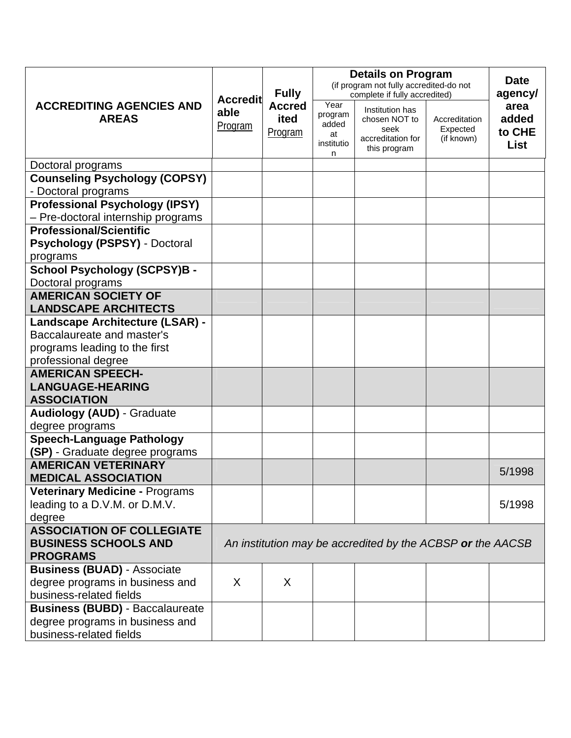|                                                                                                                       |                                                            | <b>Fully</b>                     | <b>Details on Program</b><br>(if program not fully accredited-do not | <b>Date</b>                                                                   |                                         |                                        |
|-----------------------------------------------------------------------------------------------------------------------|------------------------------------------------------------|----------------------------------|----------------------------------------------------------------------|-------------------------------------------------------------------------------|-----------------------------------------|----------------------------------------|
|                                                                                                                       |                                                            |                                  | complete if fully accredited)                                        | agency/                                                                       |                                         |                                        |
| <b>ACCREDITING AGENCIES AND</b><br><b>AREAS</b>                                                                       | <b>Accredit</b><br>able<br>Program                         | <b>Accred</b><br>ited<br>Program | Year<br>program<br>added<br>at<br>institutio<br>n                    | Institution has<br>chosen NOT to<br>seek<br>accreditation for<br>this program | Accreditation<br>Expected<br>(if known) | area<br>added<br>to CHE<br><b>List</b> |
| Doctoral programs                                                                                                     |                                                            |                                  |                                                                      |                                                                               |                                         |                                        |
| <b>Counseling Psychology (COPSY)</b><br>- Doctoral programs                                                           |                                                            |                                  |                                                                      |                                                                               |                                         |                                        |
| <b>Professional Psychology (IPSY)</b><br>- Pre-doctoral internship programs                                           |                                                            |                                  |                                                                      |                                                                               |                                         |                                        |
| <b>Professional/Scientific</b><br><b>Psychology (PSPSY) - Doctoral</b><br>programs                                    |                                                            |                                  |                                                                      |                                                                               |                                         |                                        |
| <b>School Psychology (SCPSY)B -</b><br>Doctoral programs                                                              |                                                            |                                  |                                                                      |                                                                               |                                         |                                        |
| <b>AMERICAN SOCIETY OF</b><br><b>LANDSCAPE ARCHITECTS</b>                                                             |                                                            |                                  |                                                                      |                                                                               |                                         |                                        |
| Landscape Architecture (LSAR) -<br>Baccalaureate and master's<br>programs leading to the first<br>professional degree |                                                            |                                  |                                                                      |                                                                               |                                         |                                        |
| <b>AMERICAN SPEECH-</b>                                                                                               |                                                            |                                  |                                                                      |                                                                               |                                         |                                        |
| <b>LANGUAGE-HEARING</b><br><b>ASSOCIATION</b>                                                                         |                                                            |                                  |                                                                      |                                                                               |                                         |                                        |
| <b>Audiology (AUD) - Graduate</b><br>degree programs                                                                  |                                                            |                                  |                                                                      |                                                                               |                                         |                                        |
| <b>Speech-Language Pathology</b><br>(SP) - Graduate degree programs                                                   |                                                            |                                  |                                                                      |                                                                               |                                         |                                        |
| <b>AMERICAN VETERINARY</b><br><b>MEDICAL ASSOCIATION</b>                                                              |                                                            |                                  |                                                                      |                                                                               |                                         | 5/1998                                 |
| <b>Veterinary Medicine - Programs</b><br>leading to a D.V.M. or D.M.V.<br>degree                                      |                                                            |                                  |                                                                      |                                                                               |                                         | 5/1998                                 |
| <b>ASSOCIATION OF COLLEGIATE</b><br><b>BUSINESS SCHOOLS AND</b><br><b>PROGRAMS</b>                                    | An institution may be accredited by the ACBSP or the AACSB |                                  |                                                                      |                                                                               |                                         |                                        |
| <b>Business (BUAD) - Associate</b><br>degree programs in business and<br>business-related fields                      | X                                                          | X                                |                                                                      |                                                                               |                                         |                                        |
| <b>Business (BUBD) - Baccalaureate</b><br>degree programs in business and<br>business-related fields                  |                                                            |                                  |                                                                      |                                                                               |                                         |                                        |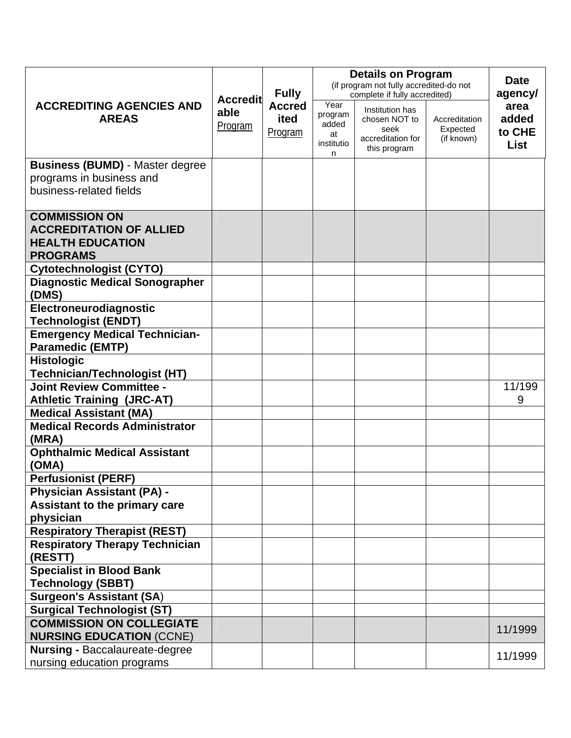|                                                                                                      |                                    | <b>Fully</b><br><b>Accred</b><br>ited<br>Program | <b>Details on Program</b><br>(if program not fully accredited-do not | <b>Date</b><br>agency/                                                                                         |                                         |                                        |
|------------------------------------------------------------------------------------------------------|------------------------------------|--------------------------------------------------|----------------------------------------------------------------------|----------------------------------------------------------------------------------------------------------------|-----------------------------------------|----------------------------------------|
| <b>ACCREDITING AGENCIES AND</b><br><b>AREAS</b>                                                      | <b>Accredit</b><br>able<br>Program |                                                  | Year<br>program<br>added<br>at<br>institutio<br>n                    | complete if fully accredited)<br>Institution has<br>chosen NOT to<br>seek<br>accreditation for<br>this program | Accreditation<br>Expected<br>(if known) | area<br>added<br>to CHE<br><b>List</b> |
| <b>Business (BUMD) - Master degree</b><br>programs in business and<br>business-related fields        |                                    |                                                  |                                                                      |                                                                                                                |                                         |                                        |
| <b>COMMISSION ON</b><br><b>ACCREDITATION OF ALLIED</b><br><b>HEALTH EDUCATION</b><br><b>PROGRAMS</b> |                                    |                                                  |                                                                      |                                                                                                                |                                         |                                        |
| <b>Cytotechnologist (CYTO)</b>                                                                       |                                    |                                                  |                                                                      |                                                                                                                |                                         |                                        |
| <b>Diagnostic Medical Sonographer</b><br>(DMS)                                                       |                                    |                                                  |                                                                      |                                                                                                                |                                         |                                        |
| Electroneurodiagnostic<br><b>Technologist (ENDT)</b>                                                 |                                    |                                                  |                                                                      |                                                                                                                |                                         |                                        |
| <b>Emergency Medical Technician-</b><br><b>Paramedic (EMTP)</b>                                      |                                    |                                                  |                                                                      |                                                                                                                |                                         |                                        |
| <b>Histologic</b>                                                                                    |                                    |                                                  |                                                                      |                                                                                                                |                                         |                                        |
| <b>Technician/Technologist (HT)</b>                                                                  |                                    |                                                  |                                                                      |                                                                                                                |                                         |                                        |
| <b>Joint Review Committee -</b>                                                                      |                                    |                                                  |                                                                      |                                                                                                                |                                         | 11/199                                 |
| <b>Athletic Training (JRC-AT)</b>                                                                    |                                    |                                                  |                                                                      |                                                                                                                |                                         | 9                                      |
| <b>Medical Assistant (MA)</b>                                                                        |                                    |                                                  |                                                                      |                                                                                                                |                                         |                                        |
| <b>Medical Records Administrator</b><br>(MRA)                                                        |                                    |                                                  |                                                                      |                                                                                                                |                                         |                                        |
| <b>Ophthalmic Medical Assistant</b><br>(OMA)                                                         |                                    |                                                  |                                                                      |                                                                                                                |                                         |                                        |
| <b>Perfusionist (PERF)</b>                                                                           |                                    |                                                  |                                                                      |                                                                                                                |                                         |                                        |
| <b>Physician Assistant (PA) -</b>                                                                    |                                    |                                                  |                                                                      |                                                                                                                |                                         |                                        |
| Assistant to the primary care<br>physician                                                           |                                    |                                                  |                                                                      |                                                                                                                |                                         |                                        |
| <b>Respiratory Therapist (REST)</b>                                                                  |                                    |                                                  |                                                                      |                                                                                                                |                                         |                                        |
| <b>Respiratory Therapy Technician</b><br>(RESTT)                                                     |                                    |                                                  |                                                                      |                                                                                                                |                                         |                                        |
| <b>Specialist in Blood Bank</b><br><b>Technology (SBBT)</b>                                          |                                    |                                                  |                                                                      |                                                                                                                |                                         |                                        |
| <b>Surgeon's Assistant (SA)</b>                                                                      |                                    |                                                  |                                                                      |                                                                                                                |                                         |                                        |
| <b>Surgical Technologist (ST)</b>                                                                    |                                    |                                                  |                                                                      |                                                                                                                |                                         |                                        |
| <b>COMMISSION ON COLLEGIATE</b>                                                                      |                                    |                                                  |                                                                      |                                                                                                                |                                         |                                        |
| <b>NURSING EDUCATION (CCNE)</b>                                                                      |                                    |                                                  |                                                                      |                                                                                                                |                                         | 11/1999                                |
| <b>Nursing - Baccalaureate-degree</b><br>nursing education programs                                  |                                    |                                                  |                                                                      |                                                                                                                |                                         | 11/1999                                |
|                                                                                                      |                                    |                                                  |                                                                      |                                                                                                                |                                         |                                        |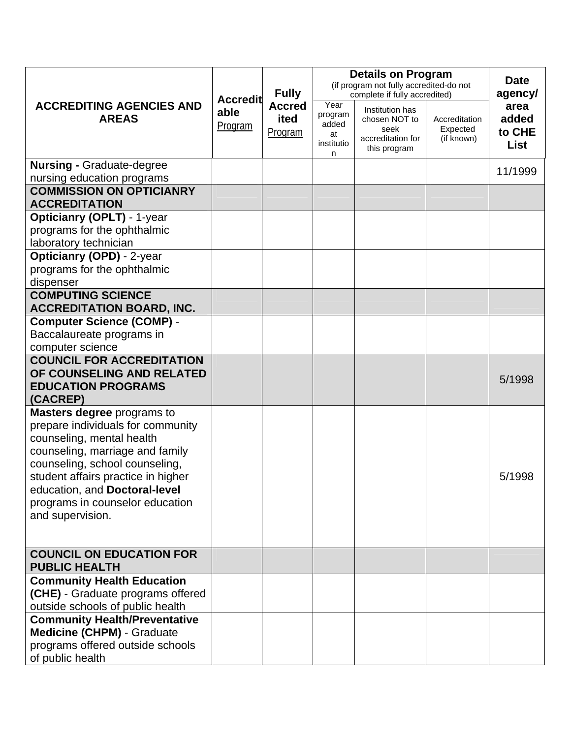|                                                                           | <b>Accredit</b>        | <b>Fully</b><br><b>Accred</b><br>ited<br>Program | <b>Details on Program</b><br>(if program not fully accredited-do not<br>complete if fully accredited) | <b>Date</b><br>agency/                                                        |                                         |                                        |
|---------------------------------------------------------------------------|------------------------|--------------------------------------------------|-------------------------------------------------------------------------------------------------------|-------------------------------------------------------------------------------|-----------------------------------------|----------------------------------------|
| <b>ACCREDITING AGENCIES AND</b><br><b>AREAS</b>                           | able<br><b>Program</b> |                                                  | Year<br>program<br>added<br>at<br>institutio<br>n                                                     | Institution has<br>chosen NOT to<br>seek<br>accreditation for<br>this program | Accreditation<br>Expected<br>(if known) | area<br>added<br>to CHE<br><b>List</b> |
| <b>Nursing - Graduate-degree</b>                                          |                        |                                                  |                                                                                                       |                                                                               |                                         | 11/1999                                |
| nursing education programs<br><b>COMMISSION ON OPTICIANRY</b>             |                        |                                                  |                                                                                                       |                                                                               |                                         |                                        |
| <b>ACCREDITATION</b>                                                      |                        |                                                  |                                                                                                       |                                                                               |                                         |                                        |
| <b>Opticianry (OPLT) - 1-year</b>                                         |                        |                                                  |                                                                                                       |                                                                               |                                         |                                        |
| programs for the ophthalmic                                               |                        |                                                  |                                                                                                       |                                                                               |                                         |                                        |
| laboratory technician                                                     |                        |                                                  |                                                                                                       |                                                                               |                                         |                                        |
| <b>Opticianry (OPD)</b> - 2-year                                          |                        |                                                  |                                                                                                       |                                                                               |                                         |                                        |
| programs for the ophthalmic<br>dispenser                                  |                        |                                                  |                                                                                                       |                                                                               |                                         |                                        |
| <b>COMPUTING SCIENCE</b><br><b>ACCREDITATION BOARD, INC.</b>              |                        |                                                  |                                                                                                       |                                                                               |                                         |                                        |
| <b>Computer Science (COMP) -</b>                                          |                        |                                                  |                                                                                                       |                                                                               |                                         |                                        |
| Baccalaureate programs in                                                 |                        |                                                  |                                                                                                       |                                                                               |                                         |                                        |
| computer science                                                          |                        |                                                  |                                                                                                       |                                                                               |                                         |                                        |
| <b>COUNCIL FOR ACCREDITATION</b>                                          |                        |                                                  |                                                                                                       |                                                                               |                                         |                                        |
| OF COUNSELING AND RELATED<br><b>EDUCATION PROGRAMS</b>                    |                        |                                                  |                                                                                                       |                                                                               |                                         | 5/1998                                 |
| (CACREP)                                                                  |                        |                                                  |                                                                                                       |                                                                               |                                         |                                        |
| Masters degree programs to                                                |                        |                                                  |                                                                                                       |                                                                               |                                         |                                        |
| prepare individuals for community                                         |                        |                                                  |                                                                                                       |                                                                               |                                         |                                        |
| counseling, mental health                                                 |                        |                                                  |                                                                                                       |                                                                               |                                         |                                        |
| counseling, marriage and family                                           |                        |                                                  |                                                                                                       |                                                                               |                                         |                                        |
| counseling, school counseling,<br>student affairs practice in higher      |                        |                                                  |                                                                                                       |                                                                               |                                         | 5/1998                                 |
| education, and Doctoral-level                                             |                        |                                                  |                                                                                                       |                                                                               |                                         |                                        |
| programs in counselor education                                           |                        |                                                  |                                                                                                       |                                                                               |                                         |                                        |
| and supervision.                                                          |                        |                                                  |                                                                                                       |                                                                               |                                         |                                        |
|                                                                           |                        |                                                  |                                                                                                       |                                                                               |                                         |                                        |
| <b>COUNCIL ON EDUCATION FOR</b><br><b>PUBLIC HEALTH</b>                   |                        |                                                  |                                                                                                       |                                                                               |                                         |                                        |
| <b>Community Health Education</b>                                         |                        |                                                  |                                                                                                       |                                                                               |                                         |                                        |
| (CHE) - Graduate programs offered                                         |                        |                                                  |                                                                                                       |                                                                               |                                         |                                        |
| outside schools of public health                                          |                        |                                                  |                                                                                                       |                                                                               |                                         |                                        |
| <b>Community Health/Preventative</b><br><b>Medicine (CHPM) - Graduate</b> |                        |                                                  |                                                                                                       |                                                                               |                                         |                                        |
| programs offered outside schools                                          |                        |                                                  |                                                                                                       |                                                                               |                                         |                                        |
| of public health                                                          |                        |                                                  |                                                                                                       |                                                                               |                                         |                                        |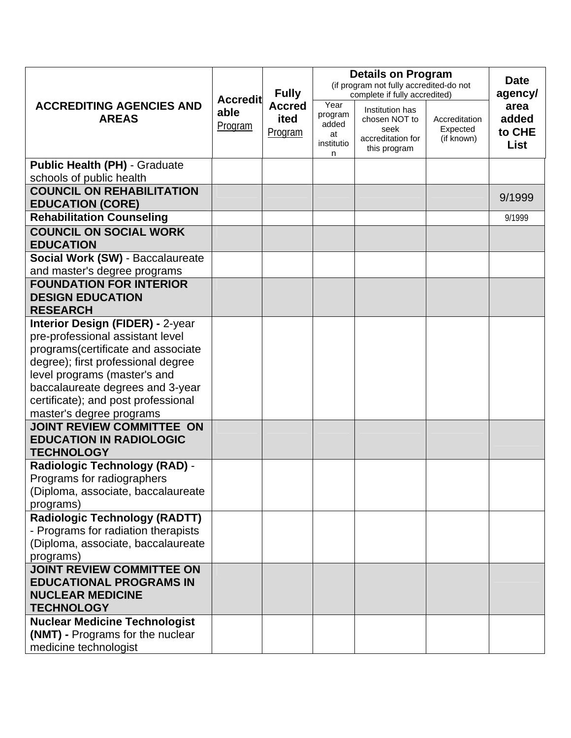|                                                                             |                        |                                  | <b>Details on Program</b>                                                | <b>Date</b>                                                                   |                                         |                                 |
|-----------------------------------------------------------------------------|------------------------|----------------------------------|--------------------------------------------------------------------------|-------------------------------------------------------------------------------|-----------------------------------------|---------------------------------|
|                                                                             | <b>Accredit</b>        | <b>Fully</b>                     | (if program not fully accredited-do not<br>complete if fully accredited) |                                                                               |                                         | agency/                         |
| <b>ACCREDITING AGENCIES AND</b><br><b>AREAS</b>                             | able<br><b>Program</b> | <b>Accred</b><br>ited<br>Program | Year<br>program<br>added<br>at<br>institutio<br>n                        | Institution has<br>chosen NOT to<br>seek<br>accreditation for<br>this program | Accreditation<br>Expected<br>(if known) | area<br>added<br>to CHE<br>List |
| <b>Public Health (PH) - Graduate</b>                                        |                        |                                  |                                                                          |                                                                               |                                         |                                 |
| schools of public health                                                    |                        |                                  |                                                                          |                                                                               |                                         |                                 |
| <b>COUNCIL ON REHABILITATION</b><br><b>EDUCATION (CORE)</b>                 |                        |                                  |                                                                          |                                                                               |                                         | 9/1999                          |
| <b>Rehabilitation Counseling</b>                                            |                        |                                  |                                                                          |                                                                               |                                         | 9/1999                          |
| <b>COUNCIL ON SOCIAL WORK</b>                                               |                        |                                  |                                                                          |                                                                               |                                         |                                 |
| <b>EDUCATION</b>                                                            |                        |                                  |                                                                          |                                                                               |                                         |                                 |
| Social Work (SW) - Baccalaureate                                            |                        |                                  |                                                                          |                                                                               |                                         |                                 |
| and master's degree programs                                                |                        |                                  |                                                                          |                                                                               |                                         |                                 |
| <b>FOUNDATION FOR INTERIOR</b>                                              |                        |                                  |                                                                          |                                                                               |                                         |                                 |
| <b>DESIGN EDUCATION</b>                                                     |                        |                                  |                                                                          |                                                                               |                                         |                                 |
| <b>RESEARCH</b>                                                             |                        |                                  |                                                                          |                                                                               |                                         |                                 |
| <b>Interior Design (FIDER) - 2-year</b><br>pre-professional assistant level |                        |                                  |                                                                          |                                                                               |                                         |                                 |
| programs(certificate and associate                                          |                        |                                  |                                                                          |                                                                               |                                         |                                 |
| degree); first professional degree                                          |                        |                                  |                                                                          |                                                                               |                                         |                                 |
| level programs (master's and                                                |                        |                                  |                                                                          |                                                                               |                                         |                                 |
| baccalaureate degrees and 3-year                                            |                        |                                  |                                                                          |                                                                               |                                         |                                 |
| certificate); and post professional                                         |                        |                                  |                                                                          |                                                                               |                                         |                                 |
| master's degree programs                                                    |                        |                                  |                                                                          |                                                                               |                                         |                                 |
| <b>JOINT REVIEW COMMITTEE ON</b>                                            |                        |                                  |                                                                          |                                                                               |                                         |                                 |
| <b>EDUCATION IN RADIOLOGIC</b>                                              |                        |                                  |                                                                          |                                                                               |                                         |                                 |
| <b>TECHNOLOGY</b>                                                           |                        |                                  |                                                                          |                                                                               |                                         |                                 |
| <b>Radiologic Technology (RAD) -</b>                                        |                        |                                  |                                                                          |                                                                               |                                         |                                 |
| Programs for radiographers                                                  |                        |                                  |                                                                          |                                                                               |                                         |                                 |
| (Diploma, associate, baccalaureate                                          |                        |                                  |                                                                          |                                                                               |                                         |                                 |
| programs)                                                                   |                        |                                  |                                                                          |                                                                               |                                         |                                 |
| <b>Radiologic Technology (RADTT)</b>                                        |                        |                                  |                                                                          |                                                                               |                                         |                                 |
| - Programs for radiation therapists                                         |                        |                                  |                                                                          |                                                                               |                                         |                                 |
| (Diploma, associate, baccalaureate                                          |                        |                                  |                                                                          |                                                                               |                                         |                                 |
| programs)<br><b>JOINT REVIEW COMMITTEE ON</b>                               |                        |                                  |                                                                          |                                                                               |                                         |                                 |
| <b>EDUCATIONAL PROGRAMS IN</b>                                              |                        |                                  |                                                                          |                                                                               |                                         |                                 |
| <b>NUCLEAR MEDICINE</b>                                                     |                        |                                  |                                                                          |                                                                               |                                         |                                 |
| <b>TECHNOLOGY</b>                                                           |                        |                                  |                                                                          |                                                                               |                                         |                                 |
| <b>Nuclear Medicine Technologist</b>                                        |                        |                                  |                                                                          |                                                                               |                                         |                                 |
| (NMT) - Programs for the nuclear                                            |                        |                                  |                                                                          |                                                                               |                                         |                                 |
| medicine technologist                                                       |                        |                                  |                                                                          |                                                                               |                                         |                                 |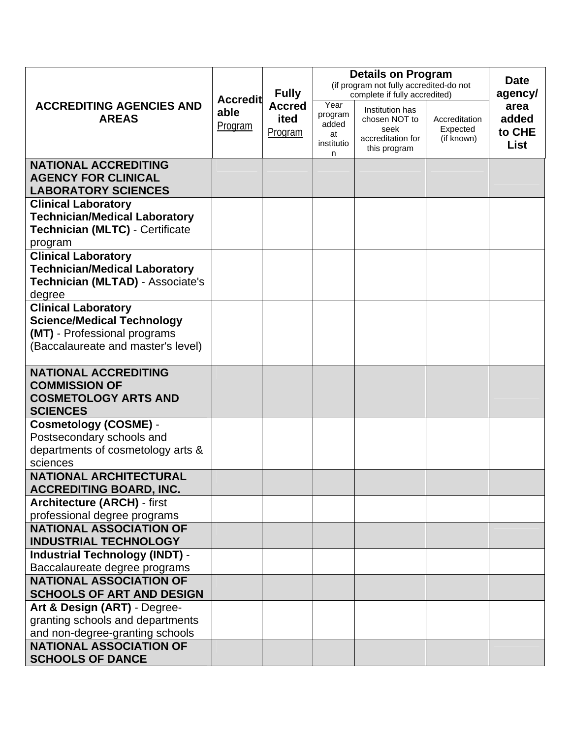|                                                                                                                                       | <b>Accredit</b> | <b>Fully</b><br><b>Accred</b><br>ited<br>Program | <b>Details on Program</b><br>(if program not fully accredited-do not<br>complete if fully accredited) | <b>Date</b><br>agency/                                                        |                                         |                                        |
|---------------------------------------------------------------------------------------------------------------------------------------|-----------------|--------------------------------------------------|-------------------------------------------------------------------------------------------------------|-------------------------------------------------------------------------------|-----------------------------------------|----------------------------------------|
| <b>ACCREDITING AGENCIES AND</b><br><b>AREAS</b>                                                                                       | able<br>Program |                                                  | Year<br>program<br>added<br>at<br>institutio<br>n                                                     | Institution has<br>chosen NOT to<br>seek<br>accreditation for<br>this program | Accreditation<br>Expected<br>(if known) | area<br>added<br>to CHE<br><b>List</b> |
| <b>NATIONAL ACCREDITING</b><br><b>AGENCY FOR CLINICAL</b><br><b>LABORATORY SCIENCES</b>                                               |                 |                                                  |                                                                                                       |                                                                               |                                         |                                        |
| <b>Clinical Laboratory</b><br><b>Technician/Medical Laboratory</b><br><b>Technician (MLTC) - Certificate</b><br>program               |                 |                                                  |                                                                                                       |                                                                               |                                         |                                        |
| <b>Clinical Laboratory</b><br><b>Technician/Medical Laboratory</b><br>Technician (MLTAD) - Associate's<br>degree                      |                 |                                                  |                                                                                                       |                                                                               |                                         |                                        |
| <b>Clinical Laboratory</b><br><b>Science/Medical Technology</b><br>(MT) - Professional programs<br>(Baccalaureate and master's level) |                 |                                                  |                                                                                                       |                                                                               |                                         |                                        |
| <b>NATIONAL ACCREDITING</b><br><b>COMMISSION OF</b><br><b>COSMETOLOGY ARTS AND</b><br><b>SCIENCES</b>                                 |                 |                                                  |                                                                                                       |                                                                               |                                         |                                        |
| <b>Cosmetology (COSME) -</b><br>Postsecondary schools and<br>departments of cosmetology arts &<br>sciences                            |                 |                                                  |                                                                                                       |                                                                               |                                         |                                        |
| <b>NATIONAL ARCHITECTURAL</b><br><b>ACCREDITING BOARD, INC.</b>                                                                       |                 |                                                  |                                                                                                       |                                                                               |                                         |                                        |
| <b>Architecture (ARCH) - first</b><br>professional degree programs                                                                    |                 |                                                  |                                                                                                       |                                                                               |                                         |                                        |
| <b>NATIONAL ASSOCIATION OF</b><br><b>INDUSTRIAL TECHNOLOGY</b>                                                                        |                 |                                                  |                                                                                                       |                                                                               |                                         |                                        |
| <b>Industrial Technology (INDT) -</b><br>Baccalaureate degree programs                                                                |                 |                                                  |                                                                                                       |                                                                               |                                         |                                        |
| <b>NATIONAL ASSOCIATION OF</b><br><b>SCHOOLS OF ART AND DESIGN</b>                                                                    |                 |                                                  |                                                                                                       |                                                                               |                                         |                                        |
| Art & Design (ART) - Degree-<br>granting schools and departments<br>and non-degree-granting schools                                   |                 |                                                  |                                                                                                       |                                                                               |                                         |                                        |
| <b>NATIONAL ASSOCIATION OF</b><br><b>SCHOOLS OF DANCE</b>                                                                             |                 |                                                  |                                                                                                       |                                                                               |                                         |                                        |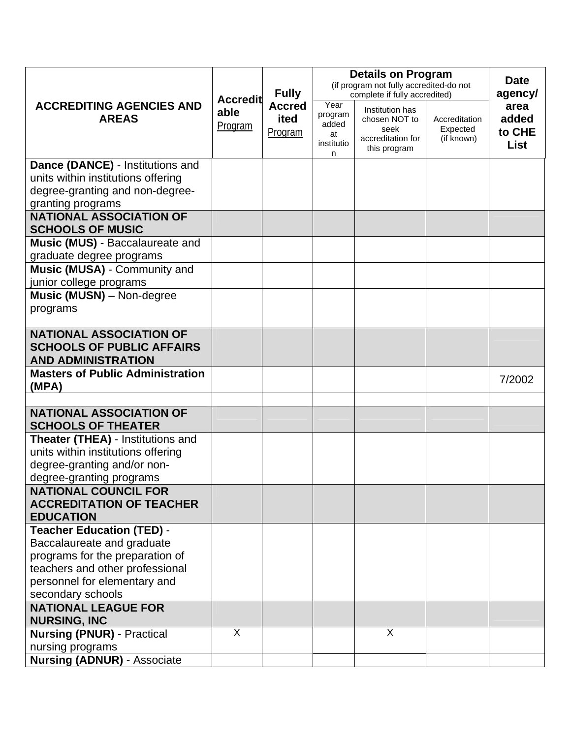|                                                                                                 |                         |                                                  | <b>Details on Program</b>                                                | <b>Date</b>                                                                   |                                         |                                 |
|-------------------------------------------------------------------------------------------------|-------------------------|--------------------------------------------------|--------------------------------------------------------------------------|-------------------------------------------------------------------------------|-----------------------------------------|---------------------------------|
|                                                                                                 | <b>Accredit</b>         | <b>Fully</b><br><b>Accred</b><br>ited<br>Program | (if program not fully accredited-do not<br>complete if fully accredited) |                                                                               |                                         | agency/                         |
| <b>ACCREDITING AGENCIES AND</b><br><b>AREAS</b>                                                 | able<br><b>Program</b>  |                                                  | Year<br>program<br>added<br>at<br>institutio<br>n                        | Institution has<br>chosen NOT to<br>seek<br>accreditation for<br>this program | Accreditation<br>Expected<br>(if known) | area<br>added<br>to CHE<br>List |
| Dance (DANCE) - Institutions and                                                                |                         |                                                  |                                                                          |                                                                               |                                         |                                 |
| units within institutions offering                                                              |                         |                                                  |                                                                          |                                                                               |                                         |                                 |
| degree-granting and non-degree-                                                                 |                         |                                                  |                                                                          |                                                                               |                                         |                                 |
| granting programs<br><b>NATIONAL ASSOCIATION OF</b>                                             |                         |                                                  |                                                                          |                                                                               |                                         |                                 |
| <b>SCHOOLS OF MUSIC</b>                                                                         |                         |                                                  |                                                                          |                                                                               |                                         |                                 |
| Music (MUS) - Baccalaureate and                                                                 |                         |                                                  |                                                                          |                                                                               |                                         |                                 |
| graduate degree programs                                                                        |                         |                                                  |                                                                          |                                                                               |                                         |                                 |
| Music (MUSA) - Community and                                                                    |                         |                                                  |                                                                          |                                                                               |                                         |                                 |
| junior college programs                                                                         |                         |                                                  |                                                                          |                                                                               |                                         |                                 |
| Music (MUSN) - Non-degree                                                                       |                         |                                                  |                                                                          |                                                                               |                                         |                                 |
| programs                                                                                        |                         |                                                  |                                                                          |                                                                               |                                         |                                 |
| <b>NATIONAL ASSOCIATION OF</b><br><b>SCHOOLS OF PUBLIC AFFAIRS</b><br><b>AND ADMINISTRATION</b> |                         |                                                  |                                                                          |                                                                               |                                         |                                 |
| <b>Masters of Public Administration</b>                                                         |                         |                                                  |                                                                          |                                                                               |                                         |                                 |
| (MPA)                                                                                           |                         |                                                  |                                                                          |                                                                               |                                         | 7/2002                          |
|                                                                                                 |                         |                                                  |                                                                          |                                                                               |                                         |                                 |
| <b>NATIONAL ASSOCIATION OF</b><br><b>SCHOOLS OF THEATER</b>                                     |                         |                                                  |                                                                          |                                                                               |                                         |                                 |
| Theater (THEA) - Institutions and                                                               |                         |                                                  |                                                                          |                                                                               |                                         |                                 |
| units within institutions offering                                                              |                         |                                                  |                                                                          |                                                                               |                                         |                                 |
| degree-granting and/or non-                                                                     |                         |                                                  |                                                                          |                                                                               |                                         |                                 |
| degree-granting programs<br><b>NATIONAL COUNCIL FOR</b>                                         |                         |                                                  |                                                                          |                                                                               |                                         |                                 |
| <b>ACCREDITATION OF TEACHER</b>                                                                 |                         |                                                  |                                                                          |                                                                               |                                         |                                 |
| <b>EDUCATION</b>                                                                                |                         |                                                  |                                                                          |                                                                               |                                         |                                 |
| <b>Teacher Education (TED) -</b>                                                                |                         |                                                  |                                                                          |                                                                               |                                         |                                 |
| Baccalaureate and graduate                                                                      |                         |                                                  |                                                                          |                                                                               |                                         |                                 |
| programs for the preparation of                                                                 |                         |                                                  |                                                                          |                                                                               |                                         |                                 |
| teachers and other professional                                                                 |                         |                                                  |                                                                          |                                                                               |                                         |                                 |
| personnel for elementary and                                                                    |                         |                                                  |                                                                          |                                                                               |                                         |                                 |
| secondary schools<br><b>NATIONAL LEAGUE FOR</b>                                                 |                         |                                                  |                                                                          |                                                                               |                                         |                                 |
| <b>NURSING, INC</b>                                                                             |                         |                                                  |                                                                          |                                                                               |                                         |                                 |
| <b>Nursing (PNUR) - Practical</b>                                                               | $\overline{\mathsf{x}}$ |                                                  |                                                                          | $\overline{\mathsf{x}}$                                                       |                                         |                                 |
| nursing programs                                                                                |                         |                                                  |                                                                          |                                                                               |                                         |                                 |
| <b>Nursing (ADNUR) - Associate</b>                                                              |                         |                                                  |                                                                          |                                                                               |                                         |                                 |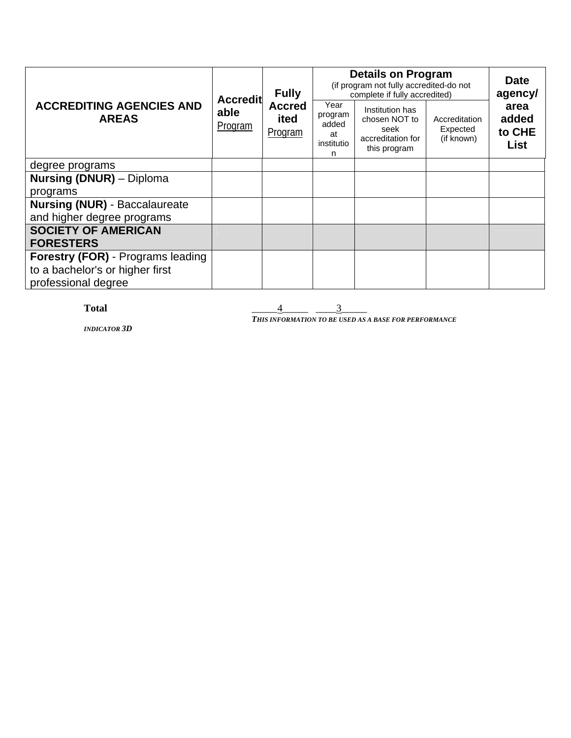| <b>ACCREDITING AGENCIES AND</b><br><b>AREAS</b> | <b>Accredit</b><br>able<br>Program | <b>Fully</b><br><b>Accred</b><br>ited<br>Program | <b>Details on Program</b><br>(if program not fully accredited-do not<br>complete if fully accredited)<br>Year | <b>Date</b><br>agency/                                                        |                                         |                                        |
|-------------------------------------------------|------------------------------------|--------------------------------------------------|---------------------------------------------------------------------------------------------------------------|-------------------------------------------------------------------------------|-----------------------------------------|----------------------------------------|
|                                                 |                                    |                                                  | program<br>added<br>at<br>institutio<br>n                                                                     | Institution has<br>chosen NOT to<br>seek<br>accreditation for<br>this program | Accreditation<br>Expected<br>(if known) | area<br>added<br>to CHE<br><b>List</b> |
| degree programs                                 |                                    |                                                  |                                                                                                               |                                                                               |                                         |                                        |
| <b>Nursing (DNUR)</b> – Diploma                 |                                    |                                                  |                                                                                                               |                                                                               |                                         |                                        |
| programs                                        |                                    |                                                  |                                                                                                               |                                                                               |                                         |                                        |
| <b>Nursing (NUR) - Baccalaureate</b>            |                                    |                                                  |                                                                                                               |                                                                               |                                         |                                        |
| and higher degree programs                      |                                    |                                                  |                                                                                                               |                                                                               |                                         |                                        |
| <b>SOCIETY OF AMERICAN</b>                      |                                    |                                                  |                                                                                                               |                                                                               |                                         |                                        |
| <b>FORESTERS</b>                                |                                    |                                                  |                                                                                                               |                                                                               |                                         |                                        |
| <b>Forestry (FOR)</b> - Programs leading        |                                    |                                                  |                                                                                                               |                                                                               |                                         |                                        |
| to a bachelor's or higher first                 |                                    |                                                  |                                                                                                               |                                                                               |                                         |                                        |
| professional degree                             |                                    |                                                  |                                                                                                               |                                                                               |                                         |                                        |

**Total**  $\frac{4}{\frac{3}{2}}$ 

*INDICATOR 3D*

*THIS INFORMATION TO BE USED AS A BASE FOR PERFORMANCE*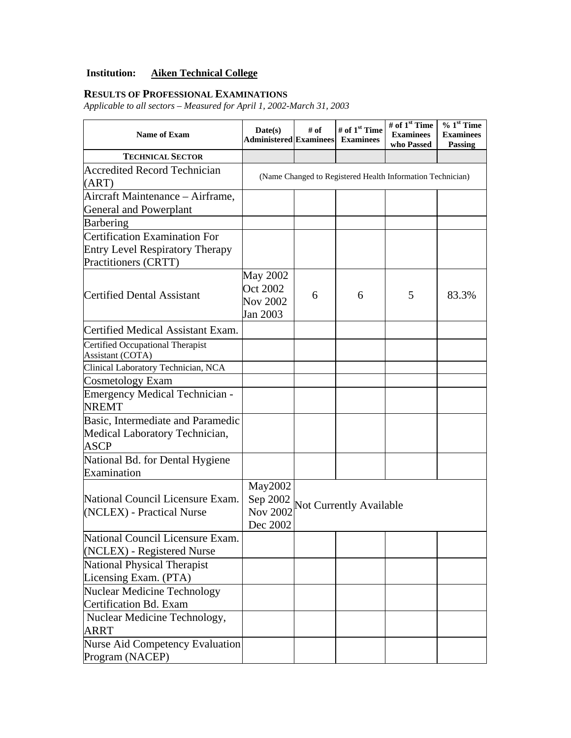## **Institution: Aiken Technical College**

## **RESULTS OF PROFESSIONAL EXAMINATIONS**

*Applicable to all sectors – Measured for April 1, 2002-March 31, 2003* 

| <b>Name of Exam</b>                                                                             | Date(s)<br><b>Administered Examinees</b>                   | # of                    | # of 1 <sup>st</sup> Time<br><b>Examinees</b> | # of 1 <sup>st</sup> Time<br><b>Examinees</b><br>who Passed | $%1st$ Time<br><b>Examinees</b><br><b>Passing</b> |  |  |
|-------------------------------------------------------------------------------------------------|------------------------------------------------------------|-------------------------|-----------------------------------------------|-------------------------------------------------------------|---------------------------------------------------|--|--|
| <b>TECHNICAL SECTOR</b>                                                                         |                                                            |                         |                                               |                                                             |                                                   |  |  |
| <b>Accredited Record Technician</b><br>(ART)                                                    | (Name Changed to Registered Health Information Technician) |                         |                                               |                                                             |                                                   |  |  |
| Aircraft Maintenance – Airframe,<br>General and Powerplant                                      |                                                            |                         |                                               |                                                             |                                                   |  |  |
| Barbering                                                                                       |                                                            |                         |                                               |                                                             |                                                   |  |  |
| Certification Examination For<br><b>Entry Level Respiratory Therapy</b><br>Practitioners (CRTT) |                                                            |                         |                                               |                                                             |                                                   |  |  |
| <b>Certified Dental Assistant</b>                                                               | <b>May 2002</b><br>Oct 2002<br><b>Nov 2002</b><br>Jan 2003 | 6                       | 6                                             | 5                                                           | 83.3%                                             |  |  |
| Certified Medical Assistant Exam.                                                               |                                                            |                         |                                               |                                                             |                                                   |  |  |
| Certified Occupational Therapist<br>Assistant (COTA)                                            |                                                            |                         |                                               |                                                             |                                                   |  |  |
| Clinical Laboratory Technician, NCA                                                             |                                                            |                         |                                               |                                                             |                                                   |  |  |
| Cosmetology Exam                                                                                |                                                            |                         |                                               |                                                             |                                                   |  |  |
| <b>Emergency Medical Technician -</b><br><b>NREMT</b>                                           |                                                            |                         |                                               |                                                             |                                                   |  |  |
| Basic, Intermediate and Paramedic<br>Medical Laboratory Technician,<br><b>ASCP</b>              |                                                            |                         |                                               |                                                             |                                                   |  |  |
| National Bd. for Dental Hygiene<br>Examination                                                  |                                                            |                         |                                               |                                                             |                                                   |  |  |
| National Council Licensure Exam.<br>(NCLEX) - Practical Nurse                                   | May2002<br>Sep 2002<br><b>Nov 2002</b><br>Dec 2002         | Not Currently Available |                                               |                                                             |                                                   |  |  |
| National Council Licensure Exam.<br>(NCLEX) - Registered Nurse                                  |                                                            |                         |                                               |                                                             |                                                   |  |  |
| National Physical Therapist<br>Licensing Exam. (PTA)                                            |                                                            |                         |                                               |                                                             |                                                   |  |  |
| <b>Nuclear Medicine Technology</b><br>Certification Bd. Exam                                    |                                                            |                         |                                               |                                                             |                                                   |  |  |
| Nuclear Medicine Technology,<br><b>ARRT</b>                                                     |                                                            |                         |                                               |                                                             |                                                   |  |  |
| <b>Nurse Aid Competency Evaluation</b><br>Program (NACEP)                                       |                                                            |                         |                                               |                                                             |                                                   |  |  |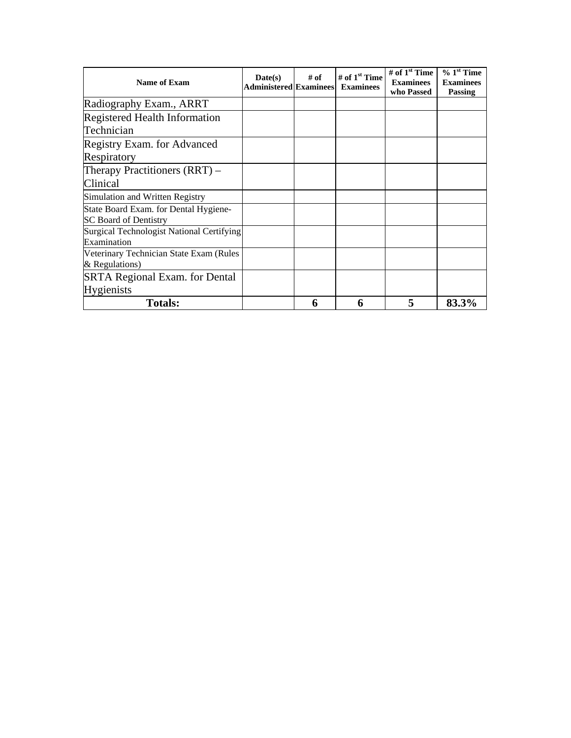| Name of Exam                                                          | $\mathbf{Date}(\mathbf{s})$<br><b>Administered Examinees</b> | # of | # of 1 <sup>st</sup> Time<br><b>Examinees</b> | # of $1st$ Time<br><b>Examinees</b><br>who Passed | $% 1st$ Time<br><b>Examinees</b><br><b>Passing</b> |
|-----------------------------------------------------------------------|--------------------------------------------------------------|------|-----------------------------------------------|---------------------------------------------------|----------------------------------------------------|
| Radiography Exam., ARRT                                               |                                                              |      |                                               |                                                   |                                                    |
| <b>Registered Health Information</b>                                  |                                                              |      |                                               |                                                   |                                                    |
| Technician                                                            |                                                              |      |                                               |                                                   |                                                    |
| Registry Exam. for Advanced                                           |                                                              |      |                                               |                                                   |                                                    |
| Respiratory                                                           |                                                              |      |                                               |                                                   |                                                    |
| Therapy Practitioners $(RRT)$ –                                       |                                                              |      |                                               |                                                   |                                                    |
| Clinical                                                              |                                                              |      |                                               |                                                   |                                                    |
| Simulation and Written Registry                                       |                                                              |      |                                               |                                                   |                                                    |
| State Board Exam. for Dental Hygiene-<br><b>SC Board of Dentistry</b> |                                                              |      |                                               |                                                   |                                                    |
| Surgical Technologist National Certifying<br>Examination              |                                                              |      |                                               |                                                   |                                                    |
| Veterinary Technician State Exam (Rules<br>& Regulations)             |                                                              |      |                                               |                                                   |                                                    |
| <b>SRTA Regional Exam. for Dental</b>                                 |                                                              |      |                                               |                                                   |                                                    |
| <b>Hygienists</b>                                                     |                                                              |      |                                               |                                                   |                                                    |
| <b>Totals:</b>                                                        |                                                              | 6    | 6                                             | 5                                                 | 83.3%                                              |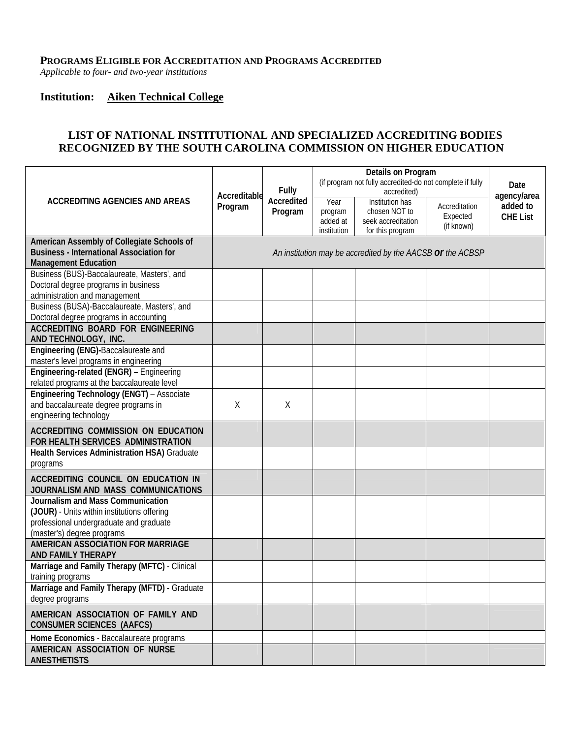#### **PROGRAMS ELIGIBLE FOR ACCREDITATION AND PROGRAMS ACCREDITED**

*Applicable to four- and two-year institutions* 

#### **Institution: Aiken Technical College**

## **LIST OF NATIONAL INSTITUTIONAL AND SPECIALIZED ACCREDITING BODIES RECOGNIZED BY THE SOUTH CAROLINA COMMISSION ON HIGHER EDUCATION**

|                                                                                                                                                           | Accreditable | <b>Fully</b>          | (if program not fully accredited-do not complete if fully | Date<br>agency/area                                                        |                                         |                             |
|-----------------------------------------------------------------------------------------------------------------------------------------------------------|--------------|-----------------------|-----------------------------------------------------------|----------------------------------------------------------------------------|-----------------------------------------|-----------------------------|
| <b>ACCREDITING AGENCIES AND AREAS</b>                                                                                                                     | Program      | Accredited<br>Program | Year<br>program<br>added at<br>institution                | Institution has<br>chosen NOT to<br>seek accreditation<br>for this program | Accreditation<br>Expected<br>(if known) | added to<br><b>CHE List</b> |
| American Assembly of Collegiate Schools of<br><b>Business - International Association for</b><br><b>Management Education</b>                              |              |                       |                                                           | An institution may be accredited by the AACSB or the ACBSP                 |                                         |                             |
| Business (BUS)-Baccalaureate, Masters', and<br>Doctoral degree programs in business<br>administration and management                                      |              |                       |                                                           |                                                                            |                                         |                             |
| Business (BUSA)-Baccalaureate, Masters', and<br>Doctoral degree programs in accounting                                                                    |              |                       |                                                           |                                                                            |                                         |                             |
| <b>ACCREDITING BOARD FOR ENGINEERING</b><br>AND TECHNOLOGY, INC.                                                                                          |              |                       |                                                           |                                                                            |                                         |                             |
| Engineering (ENG)-Baccalaureate and<br>master's level programs in engineering                                                                             |              |                       |                                                           |                                                                            |                                         |                             |
| Engineering-related (ENGR) - Engineering<br>related programs at the baccalaureate level                                                                   |              |                       |                                                           |                                                                            |                                         |                             |
| Engineering Technology (ENGT) - Associate<br>and baccalaureate degree programs in<br>engineering technology                                               | X            | χ                     |                                                           |                                                                            |                                         |                             |
| <b>ACCREDITING COMMISSION ON EDUCATION</b><br>FOR HEALTH SERVICES ADMINISTRATION                                                                          |              |                       |                                                           |                                                                            |                                         |                             |
| Health Services Administration HSA) Graduate<br>programs                                                                                                  |              |                       |                                                           |                                                                            |                                         |                             |
| ACCREDITING COUNCIL ON EDUCATION IN<br>JOURNALISM AND MASS COMMUNICATIONS                                                                                 |              |                       |                                                           |                                                                            |                                         |                             |
| Journalism and Mass Communication<br>(JOUR) - Units within institutions offering<br>professional undergraduate and graduate<br>(master's) degree programs |              |                       |                                                           |                                                                            |                                         |                             |
| AMERICAN ASSOCIATION FOR MARRIAGE<br><b>AND FAMILY THERAPY</b>                                                                                            |              |                       |                                                           |                                                                            |                                         |                             |
| Marriage and Family Therapy (MFTC) - Clinical<br>training programs                                                                                        |              |                       |                                                           |                                                                            |                                         |                             |
| Marriage and Family Therapy (MFTD) - Graduate<br>degree programs                                                                                          |              |                       |                                                           |                                                                            |                                         |                             |
| AMERICAN ASSOCIATION OF FAMILY AND<br><b>CONSUMER SCIENCES (AAFCS)</b>                                                                                    |              |                       |                                                           |                                                                            |                                         |                             |
| Home Economics - Baccalaureate programs<br>AMERICAN ASSOCIATION OF NURSE                                                                                  |              |                       |                                                           |                                                                            |                                         |                             |
| <b>ANESTHETISTS</b>                                                                                                                                       |              |                       |                                                           |                                                                            |                                         |                             |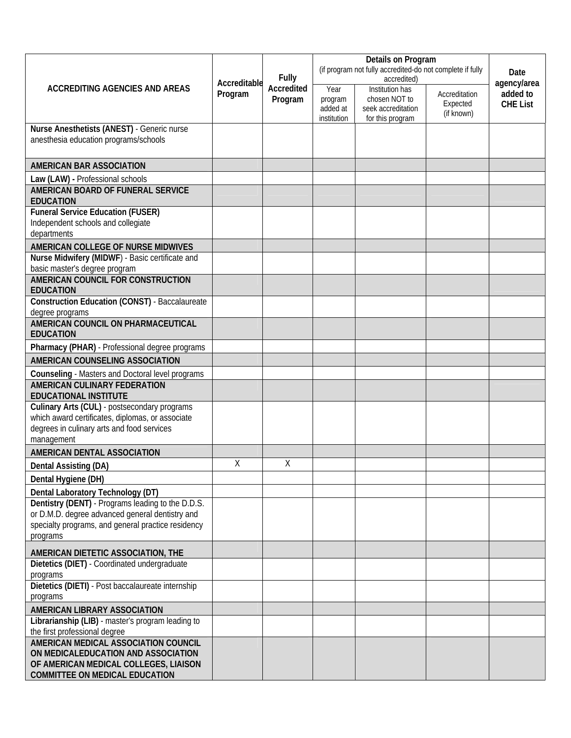| <b>ACCREDITING AGENCIES AND AREAS</b>                                                                                                          |         | <b>Fully</b><br>Accreditable<br>Accredited<br>Program | (if program not fully accredited-do not complete if fully | Date<br>agency/area                                                                       |                                         |                             |
|------------------------------------------------------------------------------------------------------------------------------------------------|---------|-------------------------------------------------------|-----------------------------------------------------------|-------------------------------------------------------------------------------------------|-----------------------------------------|-----------------------------|
|                                                                                                                                                | Program |                                                       | Year<br>program<br>added at<br>institution                | accredited)<br>Institution has<br>chosen NOT to<br>seek accreditation<br>for this program | Accreditation<br>Expected<br>(if known) | added to<br><b>CHE List</b> |
| Nurse Anesthetists (ANEST) - Generic nurse                                                                                                     |         |                                                       |                                                           |                                                                                           |                                         |                             |
| anesthesia education programs/schools                                                                                                          |         |                                                       |                                                           |                                                                                           |                                         |                             |
| AMERICAN BAR ASSOCIATION                                                                                                                       |         |                                                       |                                                           |                                                                                           |                                         |                             |
| Law (LAW) - Professional schools                                                                                                               |         |                                                       |                                                           |                                                                                           |                                         |                             |
| AMERICAN BOARD OF FUNERAL SERVICE<br><b>EDUCATION</b>                                                                                          |         |                                                       |                                                           |                                                                                           |                                         |                             |
| <b>Funeral Service Education (FUSER)</b>                                                                                                       |         |                                                       |                                                           |                                                                                           |                                         |                             |
| Independent schools and collegiate<br>departments                                                                                              |         |                                                       |                                                           |                                                                                           |                                         |                             |
| AMERICAN COLLEGE OF NURSE MIDWIVES                                                                                                             |         |                                                       |                                                           |                                                                                           |                                         |                             |
| Nurse Midwifery (MIDWF) - Basic certificate and                                                                                                |         |                                                       |                                                           |                                                                                           |                                         |                             |
| basic master's degree program<br>AMERICAN COUNCIL FOR CONSTRUCTION                                                                             |         |                                                       |                                                           |                                                                                           |                                         |                             |
| <b>EDUCATION</b>                                                                                                                               |         |                                                       |                                                           |                                                                                           |                                         |                             |
| <b>Construction Education (CONST)</b> - Baccalaureate<br>degree programs                                                                       |         |                                                       |                                                           |                                                                                           |                                         |                             |
| AMERICAN COUNCIL ON PHARMACEUTICAL<br><b>EDUCATION</b>                                                                                         |         |                                                       |                                                           |                                                                                           |                                         |                             |
| Pharmacy (PHAR) - Professional degree programs                                                                                                 |         |                                                       |                                                           |                                                                                           |                                         |                             |
| AMERICAN COUNSELING ASSOCIATION                                                                                                                |         |                                                       |                                                           |                                                                                           |                                         |                             |
| Counseling - Masters and Doctoral level programs<br><b>AMERICAN CULINARY FEDERATION</b><br><b>EDUCATIONAL INSTITUTE</b>                        |         |                                                       |                                                           |                                                                                           |                                         |                             |
| Culinary Arts (CUL) - postsecondary programs<br>which award certificates, diplomas, or associate<br>degrees in culinary arts and food services |         |                                                       |                                                           |                                                                                           |                                         |                             |
| management                                                                                                                                     |         |                                                       |                                                           |                                                                                           |                                         |                             |
| <b>AMERICAN DENTAL ASSOCIATION</b>                                                                                                             |         |                                                       |                                                           |                                                                                           |                                         |                             |
| Dental Assisting (DA)                                                                                                                          | χ       | χ                                                     |                                                           |                                                                                           |                                         |                             |
| Dental Hygiene (DH)                                                                                                                            |         |                                                       |                                                           |                                                                                           |                                         |                             |
| Dental Laboratory Technology (DT)                                                                                                              |         |                                                       |                                                           |                                                                                           |                                         |                             |
| Dentistry (DENT) - Programs leading to the D.D.S.                                                                                              |         |                                                       |                                                           |                                                                                           |                                         |                             |
| or D.M.D. degree advanced general dentistry and                                                                                                |         |                                                       |                                                           |                                                                                           |                                         |                             |
| specialty programs, and general practice residency<br>programs                                                                                 |         |                                                       |                                                           |                                                                                           |                                         |                             |
| AMERICAN DIETETIC ASSOCIATION, THE                                                                                                             |         |                                                       |                                                           |                                                                                           |                                         |                             |
| Dietetics (DIET) - Coordinated undergraduate<br>programs                                                                                       |         |                                                       |                                                           |                                                                                           |                                         |                             |
| Dietetics (DIETI) - Post baccalaureate internship                                                                                              |         |                                                       |                                                           |                                                                                           |                                         |                             |
| programs                                                                                                                                       |         |                                                       |                                                           |                                                                                           |                                         |                             |
| AMERICAN LIBRARY ASSOCIATION                                                                                                                   |         |                                                       |                                                           |                                                                                           |                                         |                             |
| Librarianship (LIB) - master's program leading to<br>the first professional degree                                                             |         |                                                       |                                                           |                                                                                           |                                         |                             |
| AMERICAN MEDICAL ASSOCIATION COUNCIL<br>ON MEDICALEDUCATION AND ASSOCIATION                                                                    |         |                                                       |                                                           |                                                                                           |                                         |                             |
| OF AMERICAN MEDICAL COLLEGES, LIAISON<br><b>COMMITTEE ON MEDICAL EDUCATION</b>                                                                 |         |                                                       |                                                           |                                                                                           |                                         |                             |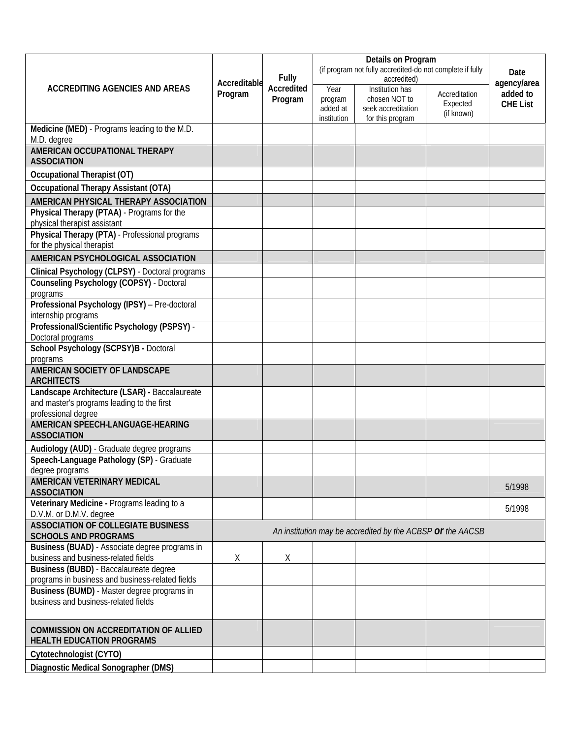|                                                                                                                    |                         | <b>Fully</b><br>Accredited<br>Program | (if program not fully accredited-do not complete if fully | Date                                                                                             |                                         |                                            |
|--------------------------------------------------------------------------------------------------------------------|-------------------------|---------------------------------------|-----------------------------------------------------------|--------------------------------------------------------------------------------------------------|-----------------------------------------|--------------------------------------------|
| <b>ACCREDITING AGENCIES AND AREAS</b>                                                                              | Accreditable<br>Program |                                       | Year<br>program<br>added at<br>institution                | accredited)<br><b>Institution has</b><br>chosen NOT to<br>seek accreditation<br>for this program | Accreditation<br>Expected<br>(if known) | agency/area<br>added to<br><b>CHE List</b> |
| Medicine (MED) - Programs leading to the M.D.<br>M.D. degree                                                       |                         |                                       |                                                           |                                                                                                  |                                         |                                            |
| AMERICAN OCCUPATIONAL THERAPY<br><b>ASSOCIATION</b>                                                                |                         |                                       |                                                           |                                                                                                  |                                         |                                            |
| Occupational Therapist (OT)                                                                                        |                         |                                       |                                                           |                                                                                                  |                                         |                                            |
| <b>Occupational Therapy Assistant (OTA)</b>                                                                        |                         |                                       |                                                           |                                                                                                  |                                         |                                            |
| AMERICAN PHYSICAL THERAPY ASSOCIATION                                                                              |                         |                                       |                                                           |                                                                                                  |                                         |                                            |
| Physical Therapy (PTAA) - Programs for the<br>physical therapist assistant                                         |                         |                                       |                                                           |                                                                                                  |                                         |                                            |
| Physical Therapy (PTA) - Professional programs<br>for the physical therapist                                       |                         |                                       |                                                           |                                                                                                  |                                         |                                            |
| AMERICAN PSYCHOLOGICAL ASSOCIATION                                                                                 |                         |                                       |                                                           |                                                                                                  |                                         |                                            |
| Clinical Psychology (CLPSY) - Doctoral programs                                                                    |                         |                                       |                                                           |                                                                                                  |                                         |                                            |
| <b>Counseling Psychology (COPSY)</b> - Doctoral<br>programs                                                        |                         |                                       |                                                           |                                                                                                  |                                         |                                            |
| Professional Psychology (IPSY) - Pre-doctoral<br>internship programs                                               |                         |                                       |                                                           |                                                                                                  |                                         |                                            |
| Professional/Scientific Psychology (PSPSY) -<br>Doctoral programs                                                  |                         |                                       |                                                           |                                                                                                  |                                         |                                            |
| School Psychology (SCPSY)B - Doctoral<br>programs                                                                  |                         |                                       |                                                           |                                                                                                  |                                         |                                            |
| AMERICAN SOCIETY OF LANDSCAPE<br><b>ARCHITECTS</b>                                                                 |                         |                                       |                                                           |                                                                                                  |                                         |                                            |
| Landscape Architecture (LSAR) - Baccalaureate<br>and master's programs leading to the first<br>professional degree |                         |                                       |                                                           |                                                                                                  |                                         |                                            |
| AMERICAN SPEECH-LANGUAGE-HEARING<br><b>ASSOCIATION</b>                                                             |                         |                                       |                                                           |                                                                                                  |                                         |                                            |
| Audiology (AUD) - Graduate degree programs                                                                         |                         |                                       |                                                           |                                                                                                  |                                         |                                            |
| Speech-Language Pathology (SP) - Graduate<br>degree programs                                                       |                         |                                       |                                                           |                                                                                                  |                                         |                                            |
| AMERICAN VETERINARY MEDICAL<br><b>ASSOCIATION</b>                                                                  |                         |                                       |                                                           |                                                                                                  |                                         | 5/1998                                     |
| Veterinary Medicine - Programs leading to a<br>D.V.M. or D.M.V. degree                                             |                         |                                       |                                                           |                                                                                                  |                                         | 5/1998                                     |
| <b>ASSOCIATION OF COLLEGIATE BUSINESS</b><br><b>SCHOOLS AND PROGRAMS</b>                                           |                         |                                       |                                                           | An institution may be accredited by the ACBSP or the AACSB                                       |                                         |                                            |
| Business (BUAD) - Associate degree programs in<br>business and business-related fields                             | Χ                       | Χ                                     |                                                           |                                                                                                  |                                         |                                            |
| Business (BUBD) - Baccalaureate degree<br>programs in business and business-related fields                         |                         |                                       |                                                           |                                                                                                  |                                         |                                            |
| Business (BUMD) - Master degree programs in<br>business and business-related fields                                |                         |                                       |                                                           |                                                                                                  |                                         |                                            |
| <b>COMMISSION ON ACCREDITATION OF ALLIED</b><br><b>HEALTH EDUCATION PROGRAMS</b>                                   |                         |                                       |                                                           |                                                                                                  |                                         |                                            |
| Cytotechnologist (CYTO)                                                                                            |                         |                                       |                                                           |                                                                                                  |                                         |                                            |
| Diagnostic Medical Sonographer (DMS)                                                                               |                         |                                       |                                                           |                                                                                                  |                                         |                                            |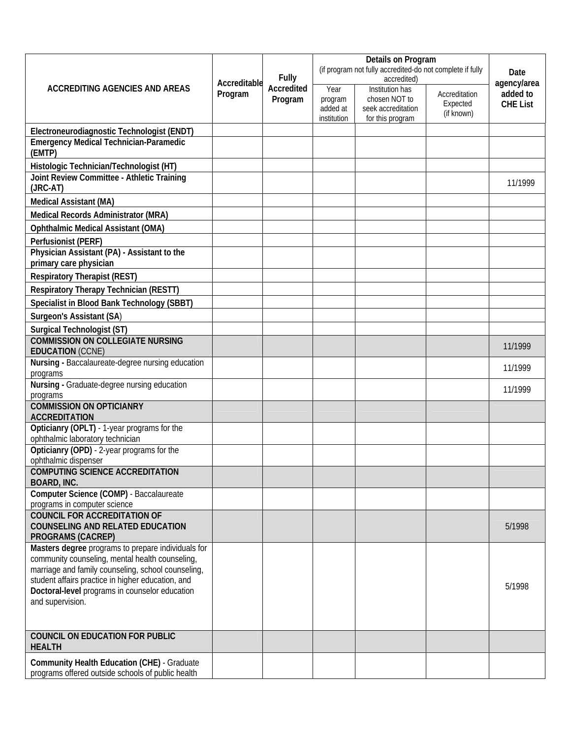| <b>ACCREDITING AGENCIES AND AREAS</b><br>Program                                                                                                            | Accreditable | Fully<br>Accredited<br>Program | (if program not fully accredited-do not complete if fully | Date                                                                       |                                         |                                            |
|-------------------------------------------------------------------------------------------------------------------------------------------------------------|--------------|--------------------------------|-----------------------------------------------------------|----------------------------------------------------------------------------|-----------------------------------------|--------------------------------------------|
|                                                                                                                                                             |              |                                |                                                           | accredited)                                                                |                                         | agency/area<br>added to<br><b>CHE List</b> |
|                                                                                                                                                             |              |                                | Year<br>program<br>added at<br>institution                | Institution has<br>chosen NOT to<br>seek accreditation<br>for this program | Accreditation<br>Expected<br>(if known) |                                            |
| Electroneurodiagnostic Technologist (ENDT)                                                                                                                  |              |                                |                                                           |                                                                            |                                         |                                            |
| <b>Emergency Medical Technician-Paramedic</b><br>(EMTP)                                                                                                     |              |                                |                                                           |                                                                            |                                         |                                            |
| Histologic Technician/Technologist (HT)<br>Joint Review Committee - Athletic Training<br>(JRC-AT)                                                           |              |                                |                                                           |                                                                            |                                         | 11/1999                                    |
| <b>Medical Assistant (MA)</b>                                                                                                                               |              |                                |                                                           |                                                                            |                                         |                                            |
|                                                                                                                                                             |              |                                |                                                           |                                                                            |                                         |                                            |
| Medical Records Administrator (MRA)                                                                                                                         |              |                                |                                                           |                                                                            |                                         |                                            |
| <b>Ophthalmic Medical Assistant (OMA)</b>                                                                                                                   |              |                                |                                                           |                                                                            |                                         |                                            |
| Perfusionist (PERF)<br>Physician Assistant (PA) - Assistant to the<br>primary care physician                                                                |              |                                |                                                           |                                                                            |                                         |                                            |
| <b>Respiratory Therapist (REST)</b>                                                                                                                         |              |                                |                                                           |                                                                            |                                         |                                            |
| Respiratory Therapy Technician (RESTT)                                                                                                                      |              |                                |                                                           |                                                                            |                                         |                                            |
| Specialist in Blood Bank Technology (SBBT)                                                                                                                  |              |                                |                                                           |                                                                            |                                         |                                            |
| Surgeon's Assistant (SA)                                                                                                                                    |              |                                |                                                           |                                                                            |                                         |                                            |
| Surgical Technologist (ST)                                                                                                                                  |              |                                |                                                           |                                                                            |                                         |                                            |
| <b>COMMISSION ON COLLEGIATE NURSING</b><br><b>EDUCATION (CCNE)</b>                                                                                          |              |                                |                                                           |                                                                            |                                         | 11/1999                                    |
| Nursing - Baccalaureate-degree nursing education<br>programs                                                                                                |              |                                |                                                           |                                                                            |                                         | 11/1999                                    |
| Nursing - Graduate-degree nursing education<br>programs                                                                                                     |              |                                |                                                           |                                                                            |                                         | 11/1999                                    |
| <b>COMMISSION ON OPTICIANRY</b><br><b>ACCREDITATION</b>                                                                                                     |              |                                |                                                           |                                                                            |                                         |                                            |
| Opticianry (OPLT) - 1-year programs for the<br>ophthalmic laboratory technician                                                                             |              |                                |                                                           |                                                                            |                                         |                                            |
| Opticianry (OPD) - 2-year programs for the<br>ophthalmic dispenser                                                                                          |              |                                |                                                           |                                                                            |                                         |                                            |
| <b>COMPUTING SCIENCE ACCREDITATION</b><br><b>BOARD, INC.</b>                                                                                                |              |                                |                                                           |                                                                            |                                         |                                            |
| Computer Science (COMP) - Baccalaureate<br>programs in computer science                                                                                     |              |                                |                                                           |                                                                            |                                         |                                            |
| <b>COUNCIL FOR ACCREDITATION OF</b><br><b>COUNSELING AND RELATED EDUCATION</b><br><b>PROGRAMS (CACREP)</b>                                                  |              |                                |                                                           |                                                                            |                                         | 5/1998                                     |
| Masters degree programs to prepare individuals for<br>community counseling, mental health counseling,<br>marriage and family counseling, school counseling, |              |                                |                                                           |                                                                            |                                         |                                            |
| student affairs practice in higher education, and<br>Doctoral-level programs in counselor education<br>and supervision.                                     |              |                                |                                                           |                                                                            |                                         | 5/1998                                     |
|                                                                                                                                                             |              |                                |                                                           |                                                                            |                                         |                                            |
| <b>COUNCIL ON EDUCATION FOR PUBLIC</b><br><b>HEALTH</b>                                                                                                     |              |                                |                                                           |                                                                            |                                         |                                            |
| <b>Community Health Education (CHE) - Graduate</b><br>programs offered outside schools of public health                                                     |              |                                |                                                           |                                                                            |                                         |                                            |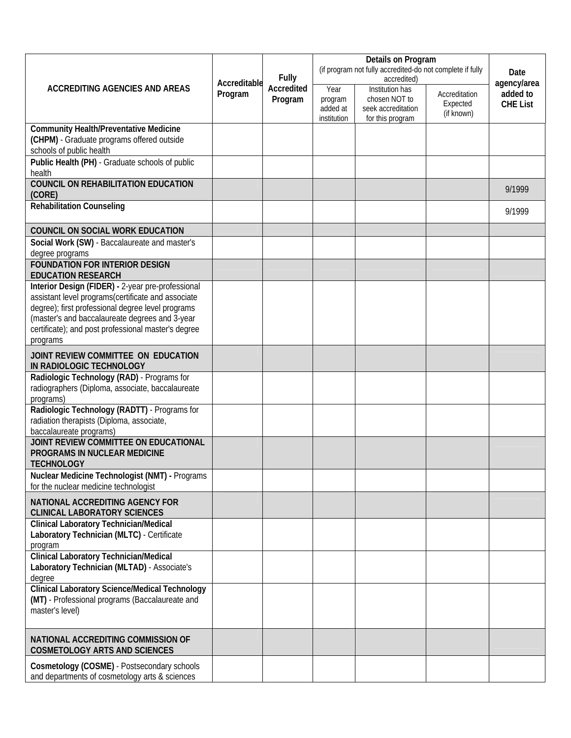| <b>ACCREDITING AGENCIES AND AREAS</b><br>Program                                                                                                                                                                                                                                  |              | <b>Fully</b><br>Accredited<br>Program | (if program not fully accredited-do not complete if fully | Date                                                                                             |                                         |                                            |
|-----------------------------------------------------------------------------------------------------------------------------------------------------------------------------------------------------------------------------------------------------------------------------------|--------------|---------------------------------------|-----------------------------------------------------------|--------------------------------------------------------------------------------------------------|-----------------------------------------|--------------------------------------------|
|                                                                                                                                                                                                                                                                                   | Accreditable |                                       | Year<br>program<br>added at<br>institution                | accredited)<br><b>Institution has</b><br>chosen NOT to<br>seek accreditation<br>for this program | Accreditation<br>Expected<br>(if known) | agency/area<br>added to<br><b>CHE List</b> |
| <b>Community Health/Preventative Medicine</b><br>(CHPM) - Graduate programs offered outside<br>schools of public health                                                                                                                                                           |              |                                       |                                                           |                                                                                                  |                                         |                                            |
| Public Health (PH) - Graduate schools of public<br>health                                                                                                                                                                                                                         |              |                                       |                                                           |                                                                                                  |                                         |                                            |
| <b>COUNCIL ON REHABILITATION EDUCATION</b><br>(CORE)                                                                                                                                                                                                                              |              |                                       |                                                           |                                                                                                  |                                         | 9/1999                                     |
| <b>Rehabilitation Counseling</b>                                                                                                                                                                                                                                                  |              |                                       |                                                           |                                                                                                  |                                         | 9/1999                                     |
| COUNCIL ON SOCIAL WORK EDUCATION                                                                                                                                                                                                                                                  |              |                                       |                                                           |                                                                                                  |                                         |                                            |
| Social Work (SW) - Baccalaureate and master's<br>degree programs                                                                                                                                                                                                                  |              |                                       |                                                           |                                                                                                  |                                         |                                            |
| <b>FOUNDATION FOR INTERIOR DESIGN</b><br><b>EDUCATION RESEARCH</b>                                                                                                                                                                                                                |              |                                       |                                                           |                                                                                                  |                                         |                                            |
| Interior Design (FIDER) - 2-year pre-professional<br>assistant level programs(certificate and associate<br>degree); first professional degree level programs<br>(master's and baccalaureate degrees and 3-year<br>certificate); and post professional master's degree<br>programs |              |                                       |                                                           |                                                                                                  |                                         |                                            |
| JOINT REVIEW COMMITTEE ON EDUCATION<br>IN RADIOLOGIC TECHNOLOGY                                                                                                                                                                                                                   |              |                                       |                                                           |                                                                                                  |                                         |                                            |
| Radiologic Technology (RAD) - Programs for<br>radiographers (Diploma, associate, baccalaureate<br>programs)                                                                                                                                                                       |              |                                       |                                                           |                                                                                                  |                                         |                                            |
| Radiologic Technology (RADTT) - Programs for<br>radiation therapists (Diploma, associate,<br>baccalaureate programs)                                                                                                                                                              |              |                                       |                                                           |                                                                                                  |                                         |                                            |
| JOINT REVIEW COMMITTEE ON EDUCATIONAL<br>PROGRAMS IN NUCLEAR MEDICINE<br><b>TECHNOLOGY</b>                                                                                                                                                                                        |              |                                       |                                                           |                                                                                                  |                                         |                                            |
| Nuclear Medicine Technologist (NMT) - Programs<br>for the nuclear medicine technologist                                                                                                                                                                                           |              |                                       |                                                           |                                                                                                  |                                         |                                            |
| NATIONAL ACCREDITING AGENCY FOR<br><b>CLINICAL LABORATORY SCIENCES</b>                                                                                                                                                                                                            |              |                                       |                                                           |                                                                                                  |                                         |                                            |
| <b>Clinical Laboratory Technician/Medical</b><br>Laboratory Technician (MLTC) - Certificate<br>program                                                                                                                                                                            |              |                                       |                                                           |                                                                                                  |                                         |                                            |
| <b>Clinical Laboratory Technician/Medical</b><br>Laboratory Technician (MLTAD) - Associate's<br>degree                                                                                                                                                                            |              |                                       |                                                           |                                                                                                  |                                         |                                            |
| <b>Clinical Laboratory Science/Medical Technology</b><br>(MT) - Professional programs (Baccalaureate and<br>master's level)                                                                                                                                                       |              |                                       |                                                           |                                                                                                  |                                         |                                            |
| NATIONAL ACCREDITING COMMISSION OF<br><b>COSMETOLOGY ARTS AND SCIENCES</b>                                                                                                                                                                                                        |              |                                       |                                                           |                                                                                                  |                                         |                                            |
| Cosmetology (COSME) - Postsecondary schools<br>and departments of cosmetology arts & sciences                                                                                                                                                                                     |              |                                       |                                                           |                                                                                                  |                                         |                                            |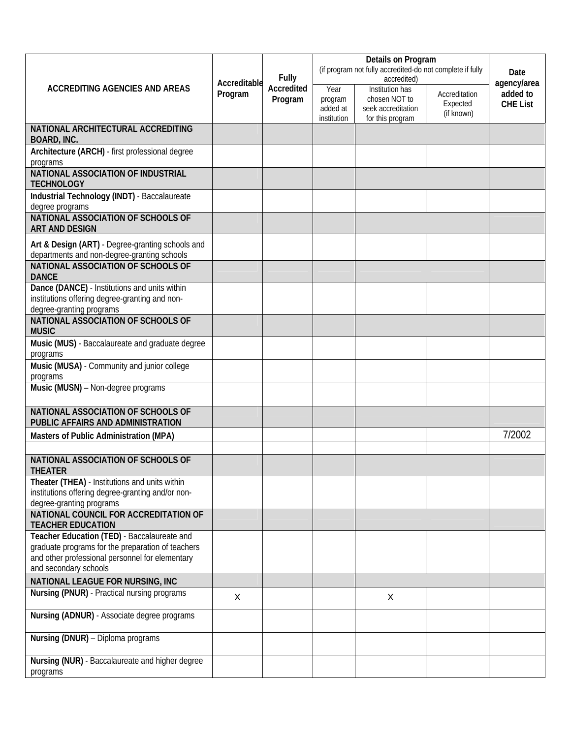|                                                                                                     | Accreditable   | <b>Fully</b><br>Accredited<br>Program | (if program not fully accredited-do not complete if fully | Date<br>agency/area                                                               |                                         |                             |
|-----------------------------------------------------------------------------------------------------|----------------|---------------------------------------|-----------------------------------------------------------|-----------------------------------------------------------------------------------|-----------------------------------------|-----------------------------|
| <b>ACCREDITING AGENCIES AND AREAS</b>                                                               | Program        |                                       | Year<br>program<br>added at<br>institution                | <b>Institution has</b><br>chosen NOT to<br>seek accreditation<br>for this program | Accreditation<br>Expected<br>(if known) | added to<br><b>CHE List</b> |
| NATIONAL ARCHITECTURAL ACCREDITING<br><b>BOARD, INC.</b>                                            |                |                                       |                                                           |                                                                                   |                                         |                             |
| Architecture (ARCH) - first professional degree<br>programs                                         |                |                                       |                                                           |                                                                                   |                                         |                             |
| NATIONAL ASSOCIATION OF INDUSTRIAL<br><b>TECHNOLOGY</b>                                             |                |                                       |                                                           |                                                                                   |                                         |                             |
| Industrial Technology (INDT) - Baccalaureate<br>degree programs                                     |                |                                       |                                                           |                                                                                   |                                         |                             |
| NATIONAL ASSOCIATION OF SCHOOLS OF<br><b>ART AND DESIGN</b>                                         |                |                                       |                                                           |                                                                                   |                                         |                             |
| Art & Design (ART) - Degree-granting schools and<br>departments and non-degree-granting schools     |                |                                       |                                                           |                                                                                   |                                         |                             |
| NATIONAL ASSOCIATION OF SCHOOLS OF<br><b>DANCE</b>                                                  |                |                                       |                                                           |                                                                                   |                                         |                             |
| Dance (DANCE) - Institutions and units within<br>institutions offering degree-granting and non-     |                |                                       |                                                           |                                                                                   |                                         |                             |
| degree-granting programs<br><b>NATIONAL ASSOCIATION OF SCHOOLS OF</b>                               |                |                                       |                                                           |                                                                                   |                                         |                             |
| <b>MUSIC</b><br>Music (MUS) - Baccalaureate and graduate degree                                     |                |                                       |                                                           |                                                                                   |                                         |                             |
| programs<br>Music (MUSA) - Community and junior college                                             |                |                                       |                                                           |                                                                                   |                                         |                             |
| programs<br>Music (MUSN) - Non-degree programs                                                      |                |                                       |                                                           |                                                                                   |                                         |                             |
| NATIONAL ASSOCIATION OF SCHOOLS OF                                                                  |                |                                       |                                                           |                                                                                   |                                         |                             |
| PUBLIC AFFAIRS AND ADMINISTRATION                                                                   |                |                                       |                                                           |                                                                                   |                                         |                             |
| Masters of Public Administration (MPA)                                                              |                |                                       |                                                           |                                                                                   |                                         | 7/2002                      |
| NATIONAL ASSOCIATION OF SCHOOLS OF<br><b>THEATER</b>                                                |                |                                       |                                                           |                                                                                   |                                         |                             |
| Theater (THEA) - Institutions and units within<br>institutions offering degree-granting and/or non- |                |                                       |                                                           |                                                                                   |                                         |                             |
| degree-granting programs<br>NATIONAL COUNCIL FOR ACCREDITATION OF                                   |                |                                       |                                                           |                                                                                   |                                         |                             |
| <b>TEACHER EDUCATION</b><br>Teacher Education (TED) - Baccalaureate and                             |                |                                       |                                                           |                                                                                   |                                         |                             |
| graduate programs for the preparation of teachers                                                   |                |                                       |                                                           |                                                                                   |                                         |                             |
| and other professional personnel for elementary<br>and secondary schools                            |                |                                       |                                                           |                                                                                   |                                         |                             |
| NATIONAL LEAGUE FOR NURSING, INC                                                                    |                |                                       |                                                           |                                                                                   |                                         |                             |
| Nursing (PNUR) - Practical nursing programs                                                         | $\pmb{\times}$ |                                       |                                                           | X                                                                                 |                                         |                             |
| Nursing (ADNUR) - Associate degree programs                                                         |                |                                       |                                                           |                                                                                   |                                         |                             |
| Nursing (DNUR) - Diploma programs                                                                   |                |                                       |                                                           |                                                                                   |                                         |                             |
| Nursing (NUR) - Baccalaureate and higher degree<br>programs                                         |                |                                       |                                                           |                                                                                   |                                         |                             |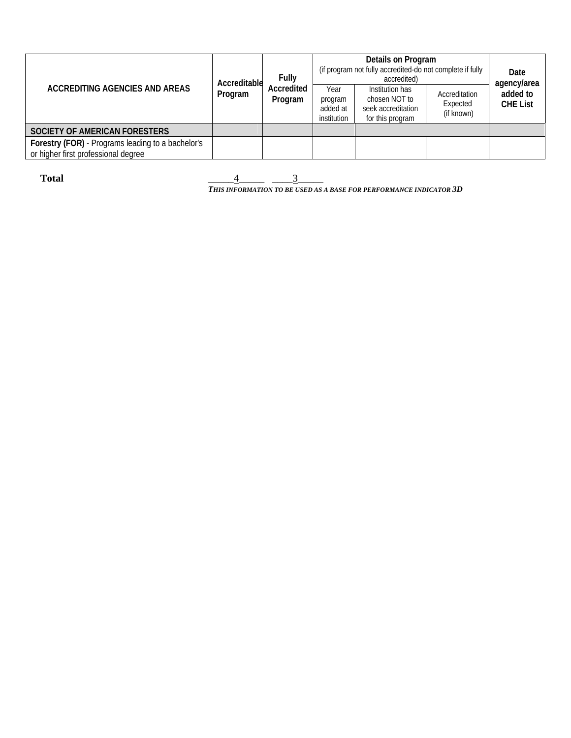| <b>ACCREDITING AGENCIES AND AREAS</b>                                                    | Accreditable<br>Program | Fully<br>Accredited<br>Program | Details on Program<br>(if program not fully accredited-do not complete if fully<br>accredited) |                                                                            |                                         | Date<br>agency/area         |
|------------------------------------------------------------------------------------------|-------------------------|--------------------------------|------------------------------------------------------------------------------------------------|----------------------------------------------------------------------------|-----------------------------------------|-----------------------------|
|                                                                                          |                         |                                | Year<br>program<br>added at<br>institution                                                     | Institution has<br>chosen NOT to<br>seek accreditation<br>for this program | Accreditation<br>Expected<br>(if known) | added to<br><b>CHE List</b> |
| SOCIETY OF AMERICAN FORESTERS                                                            |                         |                                |                                                                                                |                                                                            |                                         |                             |
| Forestry (FOR) - Programs leading to a bachelor's<br>or higher first professional degree |                         |                                |                                                                                                |                                                                            |                                         |                             |

**Total**  $\frac{4}{\frac{3}{2}}$ *THIS INFORMATION TO BE USED AS A BASE FOR PERFORMANCE INDICATOR 3D*